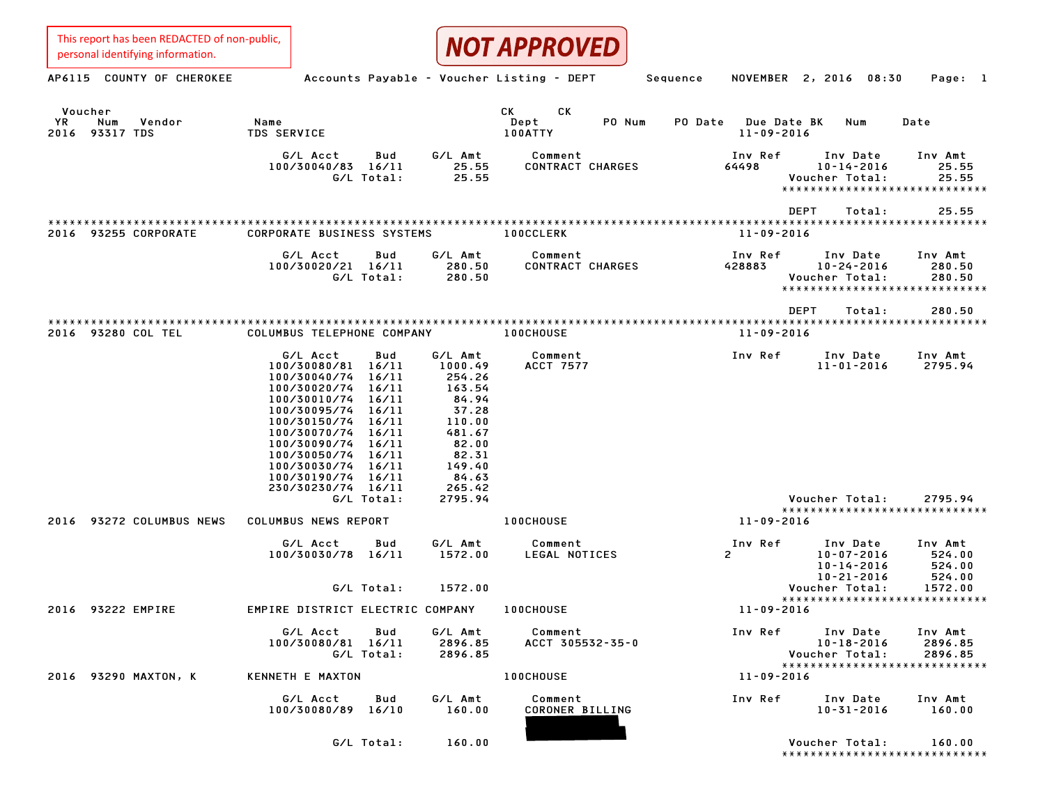| This report has been REDACTED of non-public,<br>personal identifying information. |                                                                                                                                                                                                                                                                                                                          |                                                                                                                             | <b>NOT APPROVED</b>                   |                                            |                                                                                        |                                                  |
|-----------------------------------------------------------------------------------|--------------------------------------------------------------------------------------------------------------------------------------------------------------------------------------------------------------------------------------------------------------------------------------------------------------------------|-----------------------------------------------------------------------------------------------------------------------------|---------------------------------------|--------------------------------------------|----------------------------------------------------------------------------------------|--------------------------------------------------|
| AP6115 COUNTY OF CHEROKEE                                                         | Accounts Payable - Voucher Listing - DEPT                                                                                                                                                                                                                                                                                |                                                                                                                             |                                       | Sequence                                   | NOVEMBER 2, 2016<br>08:30                                                              | Page: 1                                          |
| Voucher<br><b>YR</b><br>Num<br>Vendor<br>2016 93317 TDS                           | Name<br><b>TDS SERVICE</b>                                                                                                                                                                                                                                                                                               |                                                                                                                             | СK<br>СK<br>Dept<br>PO Num<br>100ATTY | PO Date<br>Due Date BK<br>$11 - 09 - 2016$ | Num                                                                                    | Date                                             |
|                                                                                   | G/L Acct<br>Bud<br>100/30040/83 16/11<br>G/L Total:                                                                                                                                                                                                                                                                      | G/L Amt<br>25.55<br>25.55                                                                                                   | Comment<br>CONTRACT CHARGES           | Inv Ref<br>64498                           | Inv Date<br>$10 - 14 - 2016$<br>Voucher Total:<br>*****************************        | Inv Amt<br>25.55<br>25.55                        |
| 93255 CORPORATE<br>2016                                                           | <b>CORPORATE BUSINESS SYSTEMS</b>                                                                                                                                                                                                                                                                                        |                                                                                                                             | <b>100CCLERK</b>                      | $11 - 09 - 2016$                           | <b>DEPT</b><br>Total:                                                                  | 25.55                                            |
|                                                                                   | G/L Acct<br>Bud<br>100/30020/21 16/11<br>G/L Total:                                                                                                                                                                                                                                                                      | G/L Amt<br>280.50<br>280.50                                                                                                 | Comment<br>CONTRACT CHARGES           | Inv Ref<br>428883                          | Inv Date<br>$10 - 24 - 2016$<br>Voucher Total:<br>*****************************        | Inv Amt<br>280.50<br>280.50                      |
|                                                                                   |                                                                                                                                                                                                                                                                                                                          |                                                                                                                             |                                       |                                            | <b>DEPT</b><br>Total:                                                                  | 280.50                                           |
| 93280 COL TEL<br>2016                                                             | COLUMBUS TELEPHONE COMPANY                                                                                                                                                                                                                                                                                               |                                                                                                                             | 100CHOUSE                             | $11 - 09 - 2016$                           |                                                                                        |                                                  |
|                                                                                   | G/L Acct<br>Bud<br>16/11<br>100/30080/81<br>100/30040/74<br>16/11<br>100/30020/74<br>16/11<br>100/30010/74<br>16/11<br>100/30095/74<br>16/11<br>100/30150/74<br>16/11<br>100/30070/74<br>16/11<br>100/30090/74<br>16/11<br>16/11<br>100/30050/74<br>100/30030/74<br>16/11<br>100/30190/74<br>16/11<br>230/30230/74 16/11 | G/L Amt<br>1000.49<br>254.26<br>163.54<br>84.94<br>37.28<br>110.00<br>481.67<br>82.00<br>82.31<br>149.40<br>84.63<br>265.42 | Comment<br><b>ACCT 7577</b>           | Inv Ref                                    | Inv Date<br>$11 - 01 - 2016$                                                           | Inv Amt<br>2795.94                               |
|                                                                                   | G/L Total:                                                                                                                                                                                                                                                                                                               | 2795.94                                                                                                                     |                                       |                                            | Voucher Total:<br>*****************************                                        | 2795.94                                          |
| 93272 COLUMBUS NEWS<br>2016                                                       | COLUMBUS NEWS REPORT                                                                                                                                                                                                                                                                                                     |                                                                                                                             | 100CHOUSE                             | $11 - 09 - 2016$                           |                                                                                        |                                                  |
|                                                                                   | G/L Acct<br>Bud<br>100/30030/78<br>16/11<br>G/L Total:                                                                                                                                                                                                                                                                   | G/L Amt<br>1572.00<br>1572.00                                                                                               | Comment<br>LEGAL NOTICES              | Inv Ref<br>$\overline{c}$                  | Inv Date<br>$10 - 07 - 2016$<br>$10 - 14 - 2016$<br>$10 - 21 - 2016$<br>Voucher Total: | Inv Amt<br>524.00<br>524.00<br>524.00<br>1572.00 |
| 2016 93222 EMPIRE                                                                 | EMPIRE DISTRICT ELECTRIC COMPANY                                                                                                                                                                                                                                                                                         |                                                                                                                             | 100CHOUSE                             | $11 - 09 - 2016$                           | *****************************                                                          |                                                  |
|                                                                                   | Bud<br>G/L Acct<br>100/30080/81 16/11<br>G/L Total:                                                                                                                                                                                                                                                                      | G/L Amt<br>2896.85<br>2896.85                                                                                               | Comment<br>ACCT 305532-35-0           | Inv Ref                                    | Inv Date<br>$10 - 18 - 2016$<br>Voucher Total:<br>******************************       | Inv Amt<br>2896.85<br>2896.85                    |
| 2016 93290 MAXTON, K                                                              | KENNETH E MAXTON                                                                                                                                                                                                                                                                                                         |                                                                                                                             | 100CHOUSE                             | $11 - 09 - 2016$                           |                                                                                        |                                                  |
|                                                                                   | G/L Acct<br>Bud<br>100/30080/89 16/10                                                                                                                                                                                                                                                                                    | G/L Amt<br>160.00                                                                                                           | Comment<br>CORONER BILLING            | Inv Ref                                    | Inv Date<br>$10 - 31 - 2016$                                                           | Inv Amt<br>160.00                                |
|                                                                                   | G/L Total:                                                                                                                                                                                                                                                                                                               | 160.00                                                                                                                      |                                       |                                            | Voucher Total:<br>******************************                                       | 160.00                                           |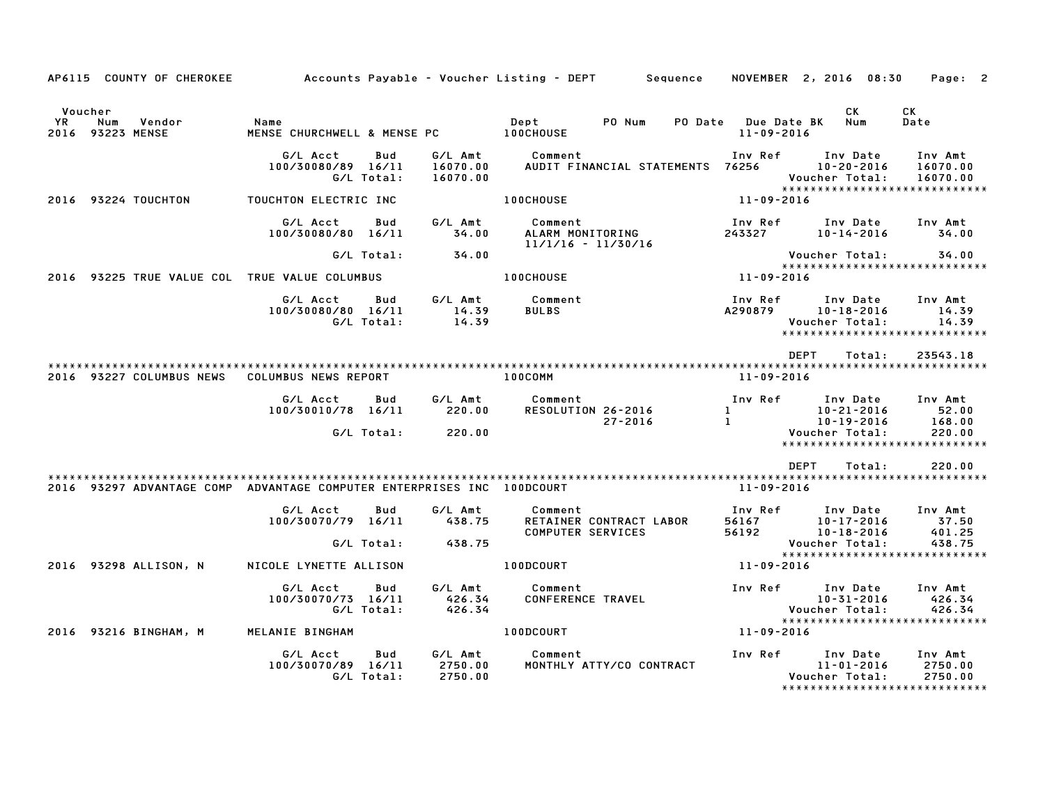|               | AP6115 COUNTY OF CHEROKEE                                              |                                              |                   |                                 | Accounts Payable – Voucher Listing – DEPT         Sequence |                                         | NOVEMBER 2, 2016 08:30                                                                        | Page: 2                              |
|---------------|------------------------------------------------------------------------|----------------------------------------------|-------------------|---------------------------------|------------------------------------------------------------|-----------------------------------------|-----------------------------------------------------------------------------------------------|--------------------------------------|
| Voucher<br>YR | Num<br>Vendor<br>2016 93223 MENSE                                      | Name<br>MENSE CHURCHWELL & MENSE PC          |                   |                                 | PO Num<br>Dept<br>100CHOUSE                                | PO Date Due Date BK<br>$11 - 09 - 2016$ | CK<br>Num                                                                                     | CK<br>Date                           |
|               |                                                                        | G/L Acct<br>100/30080/89 16/11<br>G/L Total: | Bud               | G/L Amt<br>16070.00<br>16070.00 | Comment<br>AUDIT FINANCIAL STATEMENTS 76256                | Inv Ref                                 | Inv Date<br>10-20-2016<br>Voucher Total:<br>*****************************                     | Inv Amt<br>16070.00<br>16070.00      |
|               | 2016 93224 TOUCHTON                                                    | TOUCHTON ELECTRIC INC                        |                   |                                 | <b>100CHOUSE</b>                                           | 11-09-2016                              |                                                                                               |                                      |
|               |                                                                        | G/L Acct<br>100/30080/80 16/11               | Bud               | G/L Amt<br>34.00                | Comment<br>ALARM MONITORING<br>$11/1/16 - 11/30/16$        | Inv Ref<br>243327                       | Inv Date<br>10-14-2016                                                                        | Inv Amt<br>34.00                     |
|               |                                                                        |                                              | G/L Total:        | 34.00                           |                                                            |                                         | Voucher Total:                                                                                | 34.00                                |
|               | 2016 93225 TRUE VALUE COL TRUE VALUE COLUMBUS                          |                                              |                   |                                 | <b>100CHOUSE</b>                                           | 11-09-2016                              | *****************************                                                                 |                                      |
|               |                                                                        | G/L Acct<br>100/30080/80 16/11               | Bud<br>G/L Total: | G/L Amt<br>14.39<br>14.39       | Comment<br><b>BULBS</b>                                    | Inv Ref<br>A290879                      | Inv Date<br>10-18-2016<br>Voucher Total:<br>*****************************                     | Inv Amt<br>14.39<br>14.39            |
|               |                                                                        |                                              |                   |                                 |                                                            |                                         | <b>DEPT</b><br>Total:                                                                         | 23543.18                             |
|               | 2016 93227 COLUMBUS NEWS                                               | <b>COLUMBUS NEWS REPORT</b>                  |                   |                                 | 100COMM                                                    | 11-09-2016                              |                                                                                               |                                      |
|               |                                                                        | G/L Acct<br>100/30010/78 16/11               | Bud<br>G/L Total: | G/L Amt<br>220.00<br>220.00     | Comment<br>RESOLUTION 26-2016<br>27-2016                   | Inv Ref<br>$\mathbf{1}$<br>$\mathbf{1}$ | Inv Date<br>10-21-2016<br>$10 - 19 - 2016$<br>Voucher Total:<br>***************************** | Inv Amt<br>52.00<br>168.00<br>220.00 |
|               |                                                                        |                                              |                   |                                 |                                                            |                                         | <b>DEPT</b><br>Total:                                                                         | 220.00                               |
|               | 2016 93297 ADVANTAGE COMP ADVANTAGE COMPUTER ENTERPRISES INC 100DCOURT | G/L Acct<br>100/30070/79 16/11               | Bud<br>G/L Total: | G/L Amt<br>438.75<br>438.75     | Comment<br>RETAINER CONTRACT LABOR<br>COMPUTER SERVICES    | 11-09-2016<br>Inv Ref<br>56167<br>56192 | Inv Date<br>10-17-2016<br>10-18-2016<br>Voucher Total:<br>*****************************       | Inv Amt<br>37.50<br>401.25<br>438.75 |
|               | 2016 93298 ALLISON, N                                                  | NICOLE LYNETTE ALLISON                       |                   |                                 | <b>100DCOURT</b>                                           | 11-09-2016                              |                                                                                               |                                      |
|               |                                                                        | G/L Acct<br>100/30070/73 16/11               | Bud<br>G/L Total: | G/L Amt<br>426.34<br>426.34     | Comment<br><b>CONFERENCE TRAVEL</b>                        | Inv Ref                                 | Inv Date<br>10-31-2016<br>Voucher Total:<br>******************************                    | Inv Amt<br>426.34<br>426.34          |
|               | 2016 93216 BINGHAM, M                                                  | MELANIE BINGHAM                              |                   |                                 | 100DCOURT                                                  | 11-09-2016                              |                                                                                               |                                      |
|               |                                                                        | G/L Acct<br>100/30070/89 16/11               | Bud<br>G/L Total: | G/L Amt<br>2750.00<br>2750.00   | Comment<br>MONTHLY ATTY/CO CONTRACT                        | Inv Ref                                 | Inv Date<br>$11 - 01 - 2016$<br>Voucher Total:<br>*****************************               | Inv Amt<br>2750.00<br>2750.00        |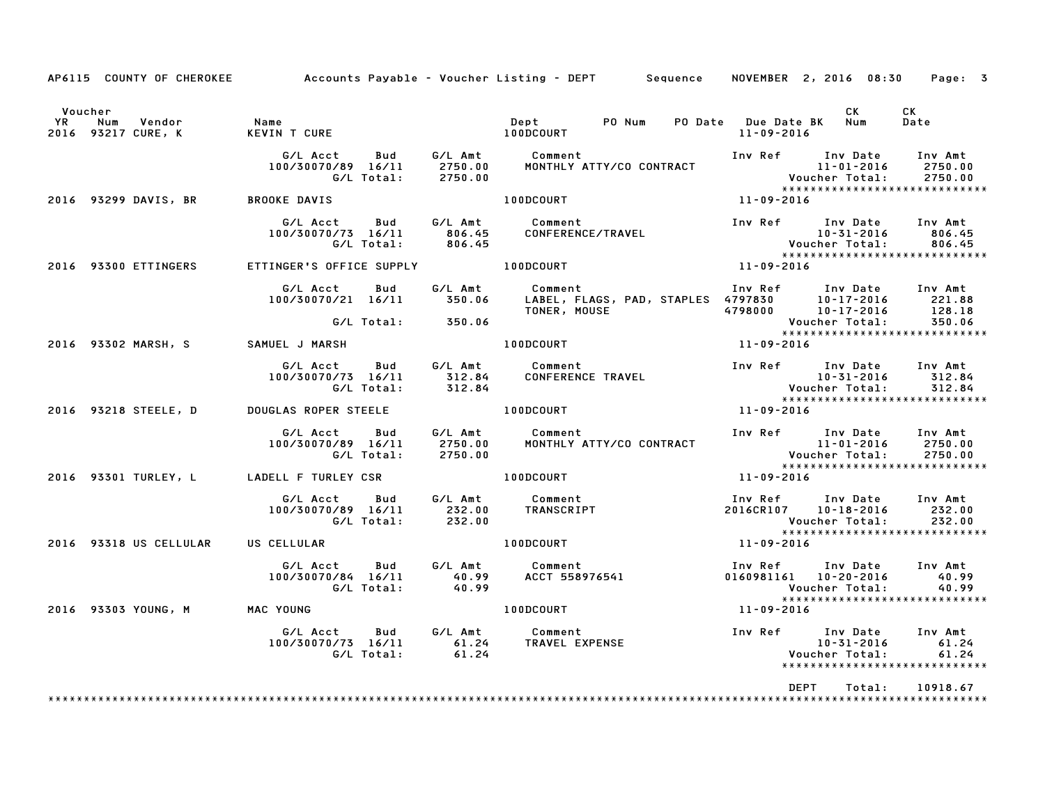|                                                             |                                                                                                     | AP6115 COUNTY OF CHEROKEE Accounts Payable - Voucher Listing - DEPT Sequence NOVEMBER 2, 2016 08:30 Page: 3                                                                                     |                                                                                                          |                |                                                 |
|-------------------------------------------------------------|-----------------------------------------------------------------------------------------------------|-------------------------------------------------------------------------------------------------------------------------------------------------------------------------------------------------|----------------------------------------------------------------------------------------------------------|----------------|-------------------------------------------------|
| Voucher<br>Vendor<br><b>YR</b><br>Num<br>2016 93217 CURE, K | Name<br>KEVTN                                                                                       | PO Num PO Date Due Date BK Num                                                                                                                                                                  | 11-09-2016                                                                                               | CK .           | CK<br>Date                                      |
|                                                             | $100/30070/89$ $16/11$ 2750.00<br>G/L Total: 2750.00                                                |                                                                                                                                                                                                 |                                                                                                          |                |                                                 |
| 2016 93299 DAVIS, BR BROOKE DAVIS                           |                                                                                                     | $11 - 09 - 2016$<br>100DCOURT                                                                                                                                                                   |                                                                                                          |                |                                                 |
|                                                             | G/L Acct Bud G/L Amt Comment                                                                        | 100/30070/73 16/11 806.45 COMFERENCE/TRAVEL<br>G/L Total: 806.45 CONFERENCE/TRAVEL                                                                                                              | Inv Ref Inv Date Inv Amt<br>10-31-2016 806.45<br>Voucher Total: 806.45<br>****************************** |                |                                                 |
| 2016 93300 ETTINGERS                                        | ETTINGER'S OFFICE SUPPLY <b>100DCOURT</b>                                                           | $11 - 09 - 2016$                                                                                                                                                                                |                                                                                                          |                |                                                 |
|                                                             |                                                                                                     | 6/L Acct Bud G/L Amt Comment Inv Ref Inv Date Inv Amt<br>100/30070/21 16/11 350.06 LABEL, FLAGS, PAD, STAPLES 4797830 10-17-2016 221.88<br>128.18 128.18 TONER, MOUSE 4798000 10-17-2016 128.18 |                                                                                                          |                |                                                 |
|                                                             | G/L Total: 350.06                                                                                   |                                                                                                                                                                                                 | Voucher Total: 350.06<br>****************************                                                    |                |                                                 |
| 2016 93302 MARSH, S SAMUEL J MARSH                          |                                                                                                     | 100DCOURT 11-09-2016                                                                                                                                                                            |                                                                                                          |                |                                                 |
|                                                             |                                                                                                     |                                                                                                                                                                                                 |                                                                                                          |                |                                                 |
| 2016 93218 STEELE, D DOUGLAS ROPER STEELE 100DCOURT         |                                                                                                     |                                                                                                                                                                                                 | 11-09-2016                                                                                               |                |                                                 |
|                                                             | G/L Acct  Bud  G/L Amt  Comment<br>100/30070/89  16/11  2750.00  MONTHLY  AT<br>G/L Total:  2750.00 | MONTHLY ATTY/CO CONTRACT                                                                                                                                                                        |                                                                                                          |                |                                                 |
| 2016 93301 TURLEY, L LADELL F TURLEY CSR                    |                                                                                                     | 100DCOURT                                                                                                                                                                                       | 11-09-2016                                                                                               |                |                                                 |
|                                                             | G/L Acct Bud G/L Amt Comment                                                                        | ou bollant Comment<br>100/30070/89 16/11 232.00 TRANSCRIPT<br>100/30070/89 16/11 232.00                                                                                                         | Inv Ref Inv Date Inv Amt<br>2016CR107  10-18-2016  232.00                                                | Voucher Total: | 232.00                                          |
| 2016 93318 US CELLULAR US CELLULAR                          |                                                                                                     | 100DCOURT                                                                                                                                                                                       | $11 - 09 - 2016$                                                                                         |                |                                                 |
|                                                             |                                                                                                     |                                                                                                                                                                                                 |                                                                                                          |                |                                                 |
| 2016 93303 YOUNG, M MAC YOUNG                               |                                                                                                     | $11 - 09 - 2016$<br>100DCOURT                                                                                                                                                                   |                                                                                                          |                |                                                 |
|                                                             |                                                                                                     | G/L Acct Bud G/L Amt Comment Inv Ref Inv Date Inv Amt<br>100/30070/73 16/11 61.24 TRAVEL EXPENSE 10-31-2016 61.24<br>61.24 Voucher Total: 61.24                                                 |                                                                                                          |                | 61.24<br>61.24<br>***************************** |
|                                                             |                                                                                                     |                                                                                                                                                                                                 | DEPT                                                                                                     | Total:         | 10918.67                                        |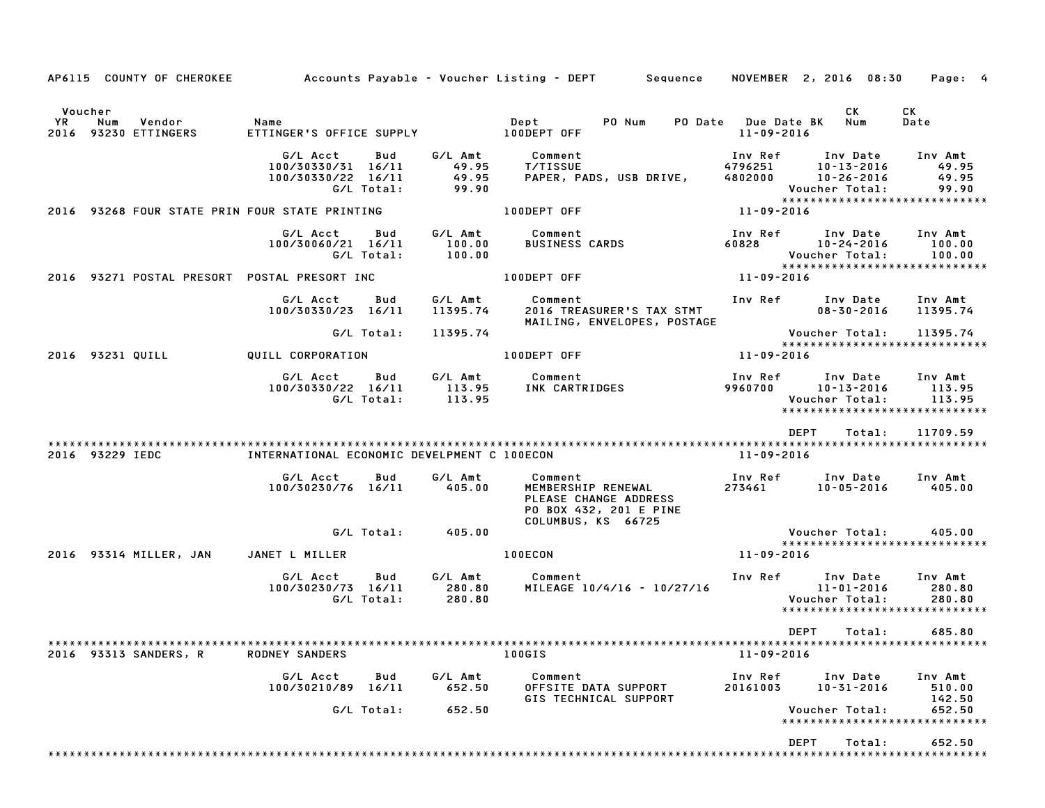| AP6115 COUNTY OF CHEROKEE                              |                                                      |                   |                                    | Accounts Payable – Voucher Listing – DEPT Sequence                               |                                       | NOVEMBER 2, 2016 08:30                                                                       | Page: 4                            |
|--------------------------------------------------------|------------------------------------------------------|-------------------|------------------------------------|----------------------------------------------------------------------------------|---------------------------------------|----------------------------------------------------------------------------------------------|------------------------------------|
| Voucher<br>YR<br>Num<br>Vendor<br>2016 93230 ETTINGERS | Name<br>ETTINGER'S OFFICE SUPPLY <b>100DEPT OFF</b>  |                   |                                    | Dept<br>PO Num                                                                   | PO Date Due Date BK Num<br>11-09-2016 | CK                                                                                           | <b>CK</b><br>Date                  |
|                                                        | G/L Acct<br>100/30330/31 16/11<br>100/30330/22 16/11 | Bud<br>G/L Total: | G/L Amt<br>49.95<br>49.95<br>99.90 | Comment<br><b>T/TISSUE</b><br>PAPER, PADS, USB DRIVE,                            | Inv Ref<br>4796251                    | Inv Date<br>$10 - 13 - 2016$<br>4802000 10-26-2016<br>Voucher Total:                         | Inv Amt<br>49.95<br>49.95<br>99.90 |
|                                                        | 2016 93268 FOUR STATE PRIN FOUR STATE PRINTING       |                   |                                    | 100DEPT OFF                                                                      | 11-09-2016                            | *****************************                                                                |                                    |
|                                                        | G/L Acct<br>100/30060/21 16/11                       | Bud<br>G/L Total: | G/L Amt<br>100.00<br>100.00        | Comment<br><b>BUSINESS CARDS</b>                                                 |                                       | Inv Ref Inv Date<br>60828 10-24-2016<br>Voucher Total:                                       | Inv Amt<br>100.00<br>100.00        |
|                                                        | 2016 93271 POSTAL PRESORT POSTAL PRESORT INC         |                   |                                    | 100DEPT OFF                                                                      | $11 - 09 - 2016$                      | *****************************                                                                |                                    |
|                                                        | G/L Acct<br>100/30330/23 16/11                       | Bud               | G/L Amt<br>11395.74                | Comment<br>2016 TREASURER'S TAX STMT<br>MAILING, ENVELOPES, POSTAGE              |                                       | Inv Ref Inv Date<br>08-30-2016                                                               | Inv Amt<br>11395.74                |
|                                                        |                                                      | G/L Total:        | 11395.74                           |                                                                                  |                                       | Voucher Total:<br>*****************************                                              | 11395.74                           |
| 2016 93231 QUILL                                       | QUILL CORPORATION                                    |                   |                                    | 100DEPT OFF                                                                      | 11-09-2016                            |                                                                                              |                                    |
|                                                        | G/L Acct<br>100/30330/22 16/11                       | Bud<br>G/L Total: | G/L Amt<br>113.95<br>113.95        | Comment<br>INK CARTRIDGES                                                        | 9960700                               | Inv Ref      Inv Date<br>$10 - 13 - 2016$<br>Voucher Total:<br>***************************** | Inv Amt<br>113.95<br>113.95        |
|                                                        |                                                      |                   |                                    |                                                                                  |                                       | <b>DEPT</b><br>Total:                                                                        | 11709.59                           |
| 2016 93229 IEDC                                        | INTERNATIONAL ECONOMIC DEVELPMENT C 100ECON          |                   |                                    |                                                                                  | 11-09-2016                            |                                                                                              |                                    |
|                                                        | G/L Acct<br>100/30230/76 16/11                       | Bud               | G/L Amt<br>405.00                  | Comment<br>MEMBERSHIP RENEWAL<br>PLEASE CHANGE ADDRESS<br>PO BOX 432, 201 E PINE | Inv Ref<br>273461                     | Inv Date<br>10-05-2016                                                                       | Inv Amt<br>405.00                  |
|                                                        |                                                      | G/L Total:        | 405.00                             | COLUMBUS, KS 66725                                                               |                                       | Voucher Total:                                                                               | 405.00                             |
| 2016 93314 MILLER, JAN                                 | JANET L MILLER                                       |                   |                                    | 100ECON                                                                          | 11-09-2016                            | *****************************                                                                |                                    |
|                                                        | G/L Acct<br>100/30230/73 16/11                       | Bud<br>G/L Total: | G/L Amt<br>280.80<br>280.80        | Comment<br>MILEAGE 10/4/16 - 10/27/16                                            |                                       | Inv Ref Inv Date<br>11-01-2016<br>Voucher Total:<br>*****************************            | Inv Amt<br>280.80<br>280.80        |
| 2016 93313 SANDERS, R                                  | <b>RODNEY SANDERS</b>                                |                   |                                    | 100GIS                                                                           | $11 - 09 - 2016$                      | <b>DEPT</b><br>Total:                                                                        | 685.80                             |
|                                                        | G/L Acct<br>100/30210/89 16/11                       | Bud               | G/L Amt<br>652.50                  | Comment<br>OFFSITE DATA SUPPORT<br>GIS TECHNICAL SUPPORT                         | Inv Ref<br>20161003                   | Inv Date<br>$10 - 31 - 2016$                                                                 | Inv Amt<br>510.00<br>142.50        |
|                                                        |                                                      | G/L Total:        | 652.50                             |                                                                                  |                                       | Voucher Total:<br>*****************************                                              | 652.50                             |
|                                                        |                                                      |                   |                                    |                                                                                  |                                       | DEPT<br>Total:                                                                               | 652.50                             |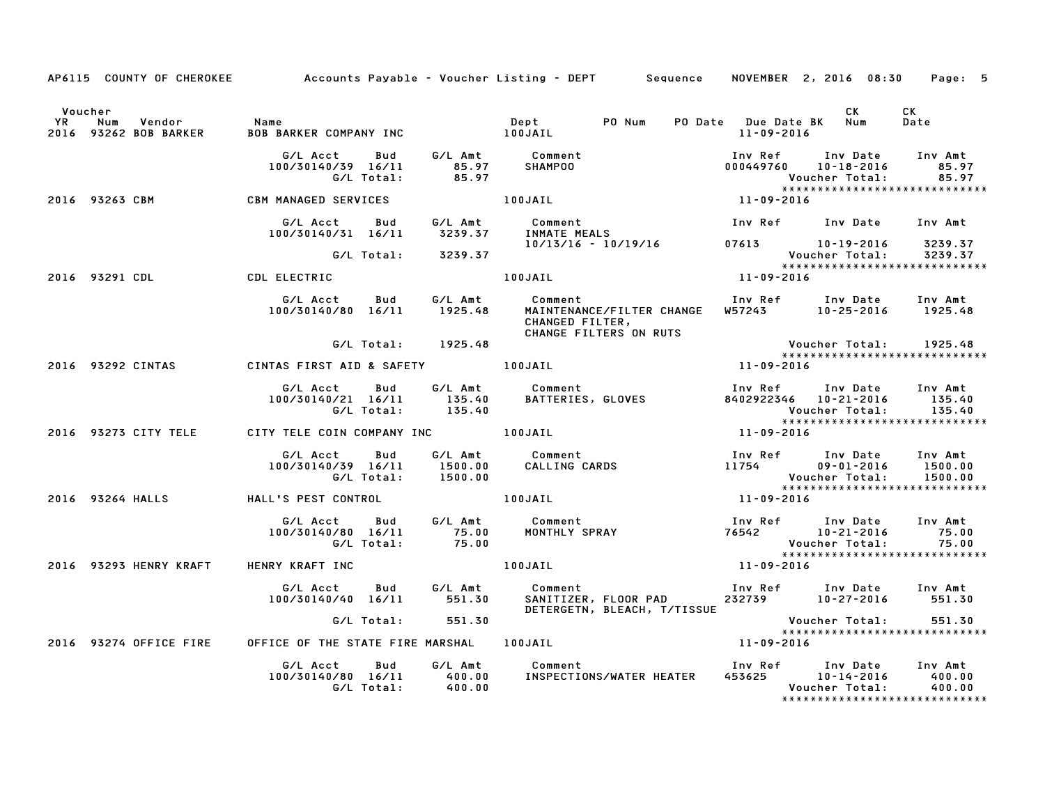|    | AP6115 COUNTY OF CHEROKEE                         |                                                     |                               | Accounts Payable – Voucher Listing – DEPT         Sequence                        | NOVEMBER 2, 2016 08:30                  |                                                | Page: 5                                                      |
|----|---------------------------------------------------|-----------------------------------------------------|-------------------------------|-----------------------------------------------------------------------------------|-----------------------------------------|------------------------------------------------|--------------------------------------------------------------|
| YR | Voucher<br>Vendor<br>Num<br>2016 93262 BOB BARKER | Name<br><b>BOB BARKER COMPANY INC</b>               | Depτ<br>100JAIL               | Dept<br>PO Num                                                                    | PO Date Due Date BK<br>$11 - 09 - 2016$ | <b>CK</b><br>Num                               | CK<br>Date                                                   |
|    |                                                   | G/L Acct<br>Bud<br>100/30140/39 16/11<br>G/L Total: | G/L Amt<br>85.97<br>85.97     | Comment<br>SHAMPOO                                                                | Inv Ref<br>000449760                    | Inv Date<br>10-18-2016<br>Voucher Total:       | Inv Amt<br>85.97<br>85.97                                    |
|    | 2016 93263 CBM                                    | CBM MANAGED SERVICES                                |                               | $11 - 09 - 2016$<br>100JAIL                                                       |                                         |                                                | *****************************                                |
|    |                                                   | G/L Acct<br>Bud<br>100/30140/31 16/11               | G/L Amt<br>3239.37            | Comment<br>INMATE MEALS                                                           | Inv Ref                                 | Inv Date                                       | Inv Amt                                                      |
|    |                                                   | G/L Total:                                          | 3239.37                       | 10/13/16 - 10/19/16                                                               | 07613 10-19-2016                        | Voucher Total:                                 | 3239.37<br>3239.37                                           |
|    | 2016 93291 CDL                                    | CDL ELECTRIC                                        |                               | 100JAIL                                                                           | $11 - 09 - 2016$                        |                                                | *****************************                                |
|    |                                                   | G/L Acct<br>Bud<br>100/30140/80 16/11               | G/L Amt<br>1925.48            | Comment<br>MAINTENANCE/FILTER CHANGE<br>CHANGED FILTER,<br>CHANGE FILTERS ON RUTS | Inv Ref Inv Date<br>W57243              | $10 - 25 - 2016$                               | Inv Amt<br>1925.48                                           |
|    |                                                   | G/L Total:                                          | 1925.48                       |                                                                                   |                                         | Voucher Total:                                 | 1925.48<br>*****************************                     |
|    | 2016 93292 CINTAS                                 | CINTAS FIRST AID & SAFETY                           |                               | 100JAIL                                                                           | 11-09-2016                              |                                                |                                                              |
|    |                                                   | G/L Acct<br>Bud<br>100/30140/21 16/11<br>G/L Total: | G/L Amt<br>135.40<br>135.40   | Comment<br>BATTERIES, GLOVES                                                      | Inv Ref<br>8402922346  10-21-2016       | Inv Date<br>Voucher Total:                     | Inv Amt<br>135.40<br>135.40<br>***************************** |
|    | 2016 93273 CITY TELE                              | CITY TELE COIN COMPANY INC                          |                               | 100JAIL                                                                           | 11-09-2016                              |                                                |                                                              |
|    |                                                   | G/L Acct<br>Bud<br>100/30140/39 16/11<br>G/L Total: | G/L Amt<br>1500.00<br>1500.00 | Comment<br>Comment<br>CALLING CARDS                                               | Inv Ref<br>11754                        | Inv Date<br>$09 - 01 - 2016$<br>Voucher Total: | Inv Amt<br>1500.00<br>1500.00                                |
|    | 2016 93264 HALLS                                  | HALL'S PEST CONTROL                                 |                               | 100JAIL                                                                           | $11 - 09 - 2016$                        |                                                | *****************************                                |
|    |                                                   | G/L Acct<br>Bud<br>100/30140/80 16/11<br>G/L Total: | G/L Amt<br>75.00<br>75.00     | Comment<br>Comment<br>MONTHLY SPRAY                                               | Inv Ref<br>76542                        | Inv Date<br>$10 - 21 - 2016$<br>Voucher Total: | Inv Amt<br>75.00<br>75.00<br>*****************************   |
|    | 2016 93293 HENRY KRAFT                            | HENRY KRAFT INC                                     |                               | 100JAIL                                                                           | 11-09-2016                              |                                                |                                                              |
|    |                                                   | G/L Acct<br>Bud<br>100/30140/40 16/11               | G/L Amt<br>551.30             | Comment<br>SANITIZER, FLOOR PAD<br>DETERGETN, BLEACH, T/TISSUE                    | Inv Ref<br>232739                       | Inv Date<br>10-27-2016                         | Inv Amt<br>551.30                                            |
|    |                                                   | G/L Total:                                          | 551.30                        |                                                                                   |                                         | Voucher Total:                                 | 551.30<br>*****************************                      |
|    | 2016 93274 OFFICE FIRE                            | OFFICE OF THE STATE FIRE MARSHAL 100JAIL            |                               |                                                                                   | 11-09-2016                              |                                                |                                                              |
|    |                                                   | Bud<br>G/L Acct<br>100/30140/80 16/11<br>G/L Total: | G/L Amt<br>400.00<br>400.00   | Comment<br>INSPECTIONS/WATER HEATER                                               | Inv Ref<br>453625                       | Inv Date<br>10-14-2016<br>Voucher Total:       | Inv Amt<br>400.00<br>400.00                                  |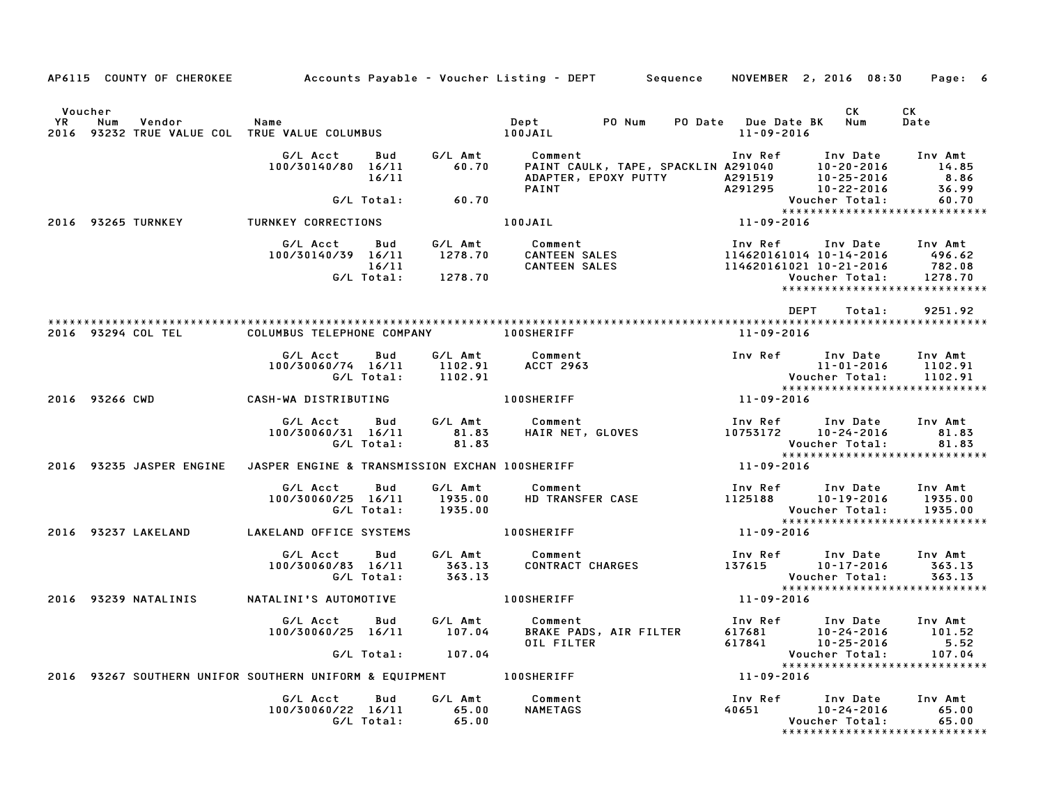| AP6115 COUNTY OF CHEROKEE                     |                                                                    |                   |                                       | Accounts Payable – Voucher Listing – DEPT         Sequence     NOVEMBER  2, 2016  08:30                                                                                                                                                         |                                       |                                                                                             | Page: 6                           |
|-----------------------------------------------|--------------------------------------------------------------------|-------------------|---------------------------------------|-------------------------------------------------------------------------------------------------------------------------------------------------------------------------------------------------------------------------------------------------|---------------------------------------|---------------------------------------------------------------------------------------------|-----------------------------------|
| Voucher<br><b>YR</b><br>Num<br>Vendor<br>2016 | Name<br>93232 TRUE VALUE COL TRUE VALUE COLUMBUS                   |                   |                                       | PO Num<br><b>Dept</b><br>100JAIL                                                                                                                                                                                                                | PO Date Due Date BK Num<br>11-09-2016 | <b>CK</b>                                                                                   | CK<br>Date                        |
|                                               | G/L Acct<br>100/30140/80 16/11                                     | Bud<br>16/11      | G/L Amt<br>60.70                      | Comment                                                                                                                                                                                                                                         |                                       |                                                                                             | Inv Amt<br>14.85<br>8.86<br>36.99 |
|                                               |                                                                    | G/L Total:        | 60.70                                 |                                                                                                                                                                                                                                                 |                                       | Voucher Total:                                                                              | 60.70                             |
| 2016 93265 TURNKEY                            | <b>TURNKEY CORRECTIONS</b>                                         |                   |                                       | 100JAIL <b>Automatic Structure</b>                                                                                                                                                                                                              | $11 - 09 - 2016$                      | *****************************                                                               |                                   |
|                                               | G/LAcct Bud G/LAmt                                                 |                   | G/L Total:       1278.70              | Comment<br>6/L Acct Bud 6/L Amt Comment – Inv Ref Inv Date<br>100/30140/39 16/11 – 1278.70 – CANTEEN SALES – 114620161014 10–14–2016<br>114620161021 10–21–2016 – 16/11 – 2000 – 2000 – 2000 – 2000 – 2000 – 2000 – 2000 – 2000 – 2000 – 2000 – |                                       | Inv Ref Inv Date Inv Amt<br><b>Voucher Total:</b><br>*****************************          | 496.62<br>782.08<br>1278.70       |
|                                               |                                                                    |                   |                                       |                                                                                                                                                                                                                                                 |                                       | DEPT<br>Total:                                                                              | 9251.92                           |
| 2016 93294 COL TEL                            | COLUMBUS TELEPHONE COMPANY 100SHERIFF                              |                   |                                       |                                                                                                                                                                                                                                                 | 11-09-2016                            |                                                                                             |                                   |
|                                               | G/L Acct<br>100/30060/74 16/11                                     | Bud<br>G/L Total: | G/L Amt<br>1102.91<br>1102.91         | Comment<br><b>ACCT 2963</b>                                                                                                                                                                                                                     |                                       | Inv Ref      Inv Date<br>$11 - 01 - 2016$<br>Voucher Total:                                 | Inv Amt<br>1102.91<br>1102.91     |
| 2016 93266 CWD                                | CASH-WA DISTRIBUTING                                               |                   |                                       | 100SHERIFF                                                                                                                                                                                                                                      | $11 - 09 - 2016$                      |                                                                                             |                                   |
|                                               | G/L Acct<br>100/30060/31 16/11                                     | Bud<br>G/L Total: | G/L Amt<br>81.83<br>81.83             | Comment                                                                                                                                                                                                                                         |                                       | Inv Ref      Inv Date<br>Voucher Total: 81.83<br>****************************               | Inv Amt<br>81.83                  |
| 2016 93235 JASPER ENGINE                      | JASPER ENGINE & TRANSMISSION EXCHAN 100SHERIFF                     |                   |                                       |                                                                                                                                                                                                                                                 | $11 - 09 - 2016$                      |                                                                                             |                                   |
|                                               | G/L Acct<br>100/30060/25 16/11                                     | Bud<br>G/L Total: | G/L Amt<br>1935.00<br>1935.00         | Comment<br>HD TRANSFER CASE                                                                                                                                                                                                                     | 1125188                               | Inv Ref      Inv Date<br>10-19-2016<br>Voucher Total:                                       | Inv Amt<br>1935.00<br>1935.00     |
| 2016 93237 LAKELAND                           | LAKELAND OFFICE SYSTEMS                                            |                   |                                       | 100SHERIFF                                                                                                                                                                                                                                      | 11-09-2016                            | *****************************                                                               |                                   |
|                                               | G/L Acct<br>100/30060/83 16/11                                     | Bud<br>G/L Total: | G/L Amt<br>363.13<br>363.13<br>363.13 | Comment<br>CONTRACT CHARGES                                                                                                                                                                                                                     |                                       | Inv Ref Inv Date<br>137615 10-17-2016<br>Voucher Total:                                     | Inv Amt<br>363.13<br>363.13       |
| 2016 93239 NATALINIS                          | NATALINI'S AUTOMOTIVE                                              |                   |                                       | <b>100SHERIFF</b>                                                                                                                                                                                                                               | $11 - 09 - 2016$                      |                                                                                             |                                   |
|                                               | G/L Acct<br>100/30060/25 16/11                                     | Bud               | G/L Amt<br>107.04                     | Comment<br>BRAKE PADS, AIR FILTER<br>OIL FILTER                                                                                                                                                                                                 | Inv Ref<br>617681<br>617841           | Inv Date<br>10-24-2016<br>10-25-2016                                                        | Inv Amt<br>101.52<br>5.52         |
|                                               |                                                                    |                   | G/L Total: 107.04                     |                                                                                                                                                                                                                                                 |                                       | Voucher Total:<br>*****************************                                             | 107.04                            |
|                                               | 2016 93267 SOUTHERN UNIFOR SOUTHERN UNIFORM & EQUIPMENT 100SHERIFF |                   |                                       |                                                                                                                                                                                                                                                 | 11-09-2016                            |                                                                                             |                                   |
|                                               | G/L Acct<br>100/30060/22 16/11                                     | Bud<br>G/L Total: | G/L Amt<br>65.00<br>65.00             | Comment<br><b>NAMETAGS</b>                                                                                                                                                                                                                      | 40651                                 | Inv Ref     Inv Date<br>$10 - 24 - 2016$<br>Voucher Total:<br>***************************** | Inv Amt<br>65.00<br>65.00         |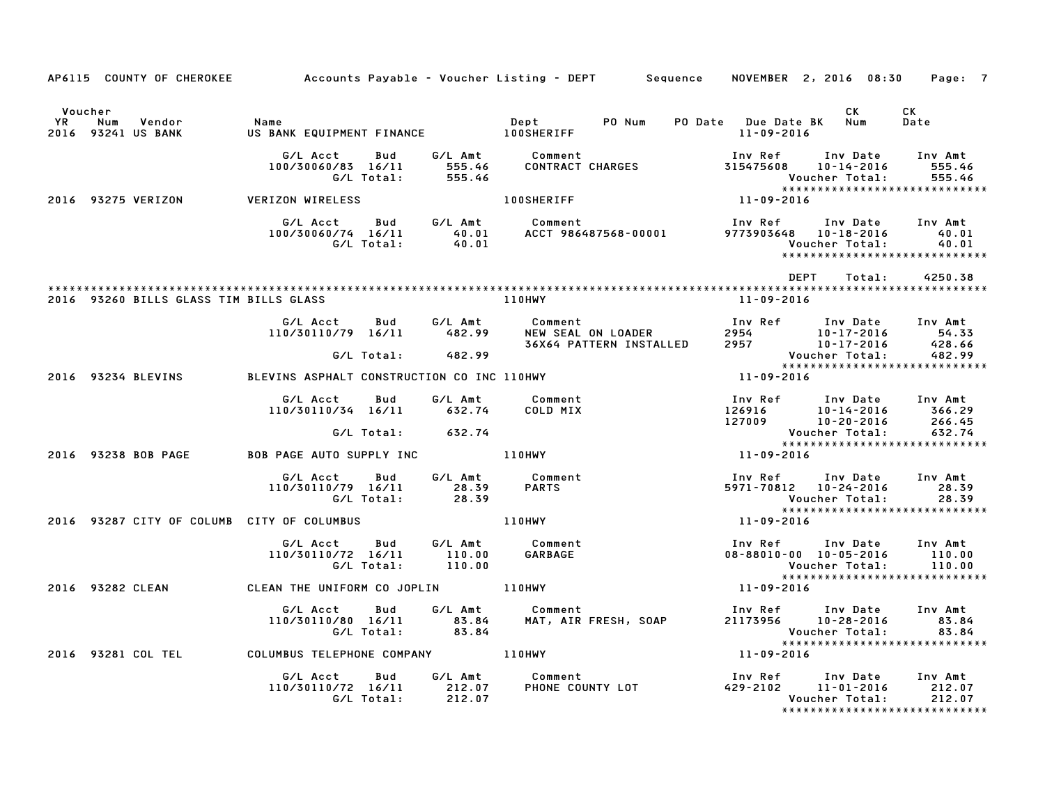|                      |     |                                        | AP6115 COUNTY OF CHEROKEE Accounts Payable - Voucher Listing - DEPT Sequence NOVEMBER 2, 2016 08:30 Page: 7 |                   |                             |                     |                                                                                                                                |                                                                                                                          |      |                              |        |                                                                       |  |
|----------------------|-----|----------------------------------------|-------------------------------------------------------------------------------------------------------------|-------------------|-----------------------------|---------------------|--------------------------------------------------------------------------------------------------------------------------------|--------------------------------------------------------------------------------------------------------------------------|------|------------------------------|--------|-----------------------------------------------------------------------|--|
| Voucher<br><b>YR</b> | Num | Vendor<br>2016 93241 US BANK           | Name<br>US BANK EQUIPMENT FINANCE 100SHERIFF                                                                |                   |                             | Dept PO Num         |                                                                                                                                | PO Date Due Date BK Num<br>11-09-2016                                                                                    |      | <b>CK</b>                    |        | CK<br>Date                                                            |  |
|                      |     |                                        | G/L Acct<br>100/30060/83 16/11                                                                              |                   | 555.46<br>G/L Total: 555.46 | Bud G/L Amt Comment | CONTRACT CHARGES                                                                                                               | Inv Ref<br>315475608                                                                                                     |      | 10-14-2016<br>Voucher Total: |        | Inv Date Inv Amt<br>555.46<br>555.46<br>***************************** |  |
|                      |     | 2016 93275 VERIZON                     | <b>VERIZON WIRELESS</b>                                                                                     |                   |                             | <b>100SHERIFF</b>   |                                                                                                                                | $11 - 09 - 2016$                                                                                                         |      |                              |        |                                                                       |  |
|                      |     |                                        | G/L Acct<br>100/30060/74 16/11                                                                              | G/L Total:        |                             |                     |                                                                                                                                | Inv Ref Inv Date Inv Amt<br>9773903648  10-18-2016                                                                       |      | Voucher Total:               |        | 40.01<br>40.01                                                        |  |
|                      |     |                                        |                                                                                                             |                   |                             |                     |                                                                                                                                |                                                                                                                          | DEPT |                              | Total: | 4250.38                                                               |  |
|                      |     | 2016 93260 BILLS GLASS TIM BILLS GLASS |                                                                                                             |                   |                             | 110HWY              |                                                                                                                                | 11-09-2016                                                                                                               |      |                              |        |                                                                       |  |
|                      |     |                                        |                                                                                                             |                   |                             |                     | Comment<br>NEW SEAL ON LOADER 2954 10–17–2016 54.33<br>36X64 PATTERN INSTALLED 2957 10–17–2016 428.66<br>Voucher Total: 482.99 |                                                                                                                          |      |                              |        |                                                                       |  |
|                      |     |                                        |                                                                                                             |                   | G/L Total: 482.99           |                     |                                                                                                                                |                                                                                                                          |      |                              |        |                                                                       |  |
|                      |     | 2016 93234 BLEVINS                     | BLEVINS ASPHALT CONSTRUCTION CO INC 110HWY                                                                  |                   |                             |                     |                                                                                                                                | $11 - 09 - 2016$                                                                                                         |      |                              |        |                                                                       |  |
|                      |     |                                        | G/L Acct<br>110/30110/34 16/11 632.74                                                                       | Bud               | G/L Amt                     | Comment<br>COLD MIX |                                                                                                                                | 10 Pure 111 Pure 111 Pure 111 Pure 1269<br>126916 10-14-2016 366.29<br>127009 10-20-2016 266.45<br>Poucher Total: 632.74 |      |                              |        |                                                                       |  |
|                      |     |                                        |                                                                                                             |                   | G/L Total: 632.74           |                     |                                                                                                                                |                                                                                                                          |      |                              |        | Voucher Total: 632.74<br>******************************               |  |
|                      |     | 2016 93238 BOB PAGE                    | BOB PAGE AUTO SUPPLY INC <b>110HWY</b>                                                                      |                   |                             |                     |                                                                                                                                |                                                                                                                          |      |                              |        |                                                                       |  |
|                      |     |                                        | G/L Acct Bud<br>110/30110/79 16/11 28.39<br>G/L Total: 28.39                                                |                   |                             |                     |                                                                                                                                | 5971-70812 10-24-2016                                                                                                    |      | Voucher Total:               |        | Inv Ref Inv Date Inv Amt<br>28.39<br>28.39                            |  |
|                      |     |                                        | 2016 93287 CITY OF COLUMB CITY OF COLUMBUS                                                                  |                   |                             | 110HWY              |                                                                                                                                | 11-09-2016                                                                                                               |      |                              |        | ******************************                                        |  |
|                      |     |                                        | G/L Acct<br>110/30110/72 16/11                                                                              | Bud<br>G/L Total: |                             |                     |                                                                                                                                | Inv Ref Inv Date Inv Amt<br>08-88010-00 10-05-2016 110.00                                                                |      | Voucher Total:               |        | 110.00<br>*****************************                               |  |
|                      |     | 2016 93282 CLEAN                       | CLEAN THE UNIFORM CO JOPLIN 110HWY                                                                          |                   |                             |                     |                                                                                                                                | $11 - 09 - 2016$                                                                                                         |      |                              |        |                                                                       |  |
|                      |     |                                        | G/L Acct   Bud<br>110/30110/80 16/11 83.84<br>G/L Total: 83.84                                              |                   |                             | G/L Amt Comment     |                                                                                                                                | Inv Ref Inv Date<br><b>VOUCNEL IOCAT.</b><br>****************************                                                |      |                              |        | Inv Amt<br>83.84                                                      |  |
|                      |     |                                        | 2016 93281 COL TEL COLUMBUS TELEPHONE COMPANY 110HWY                                                        |                   |                             |                     |                                                                                                                                | $11 - 09 - 2016$                                                                                                         |      |                              |        |                                                                       |  |
|                      |     |                                        | G/L Acct Bud<br>110/30110/72 16/11 212.07<br>G/L Total: 212.07                                              |                   |                             | G/L Amt Comment     | oumment [Inv Ref Inv Date Inv Amt<br>PHONE COUNTY LOT 429-2102 11-01-2014                                                      |                                                                                                                          |      | Voucher Total:               |        | 212.07<br>*****************************                               |  |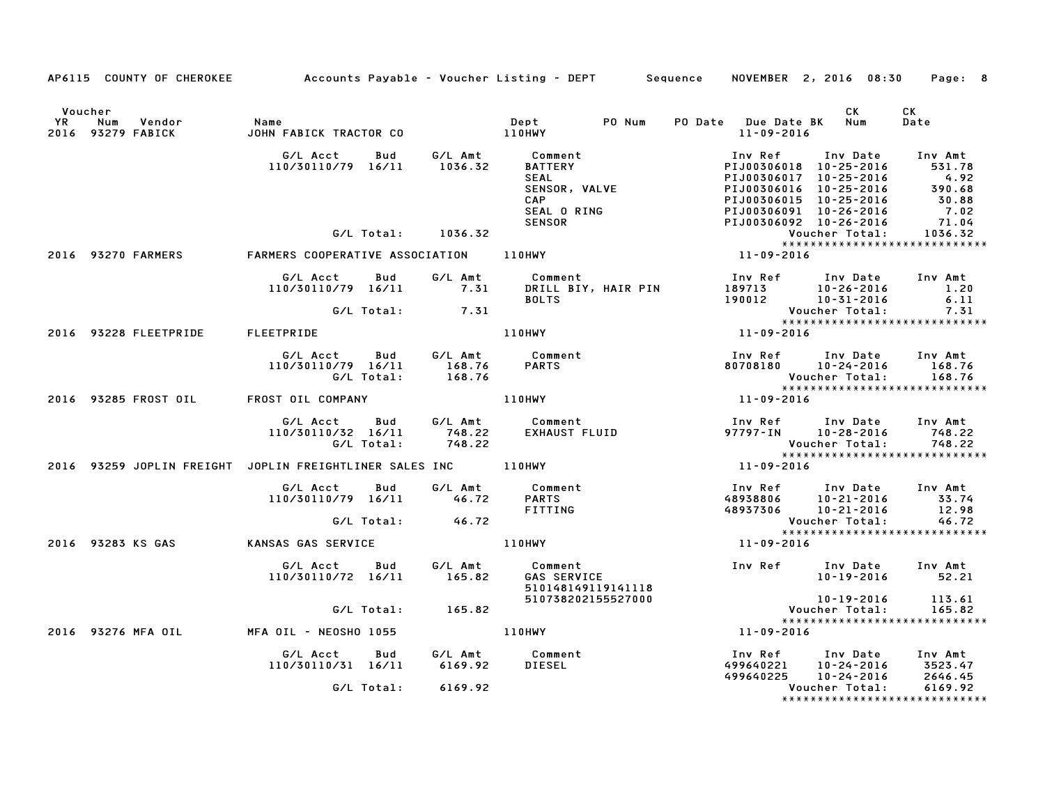|                      |                                        | AP6115 COUNTY OF CHEROKEE Accounts Payable - Voucher Listing - DEPT Sequence NOVEMBER 2, 2016 08:30 Page: 8                                                                                                                              |        |                                                                               |                                                   |                                                                                                                                      |                    |
|----------------------|----------------------------------------|------------------------------------------------------------------------------------------------------------------------------------------------------------------------------------------------------------------------------------------|--------|-------------------------------------------------------------------------------|---------------------------------------------------|--------------------------------------------------------------------------------------------------------------------------------------|--------------------|
| Voucher<br><b>YR</b> | Num Vendor<br>2016 93279 FABICK        |                                                                                                                                                                                                                                          |        |                                                                               | PO Date Due Date BK Num<br>11-09-2016             | CK                                                                                                                                   | CK<br>Date         |
|                      |                                        | G/L Acct Bud G/L Amt Comment<br>110/30110/79 16/11 1036.32 BATTERY PIJ00306018 10-25-2016 531.78<br>SEAL PIJ00306018 10-25-2016 4.92<br>SEAL PIJ00306015 10-25-2016 390.68<br>CAP PIJ00306015 10-25-2016 390.68<br>SEAL ORING SEAL ORING |        |                                                                               |                                                   |                                                                                                                                      |                    |
|                      |                                        |                                                                                                                                                                                                                                          |        |                                                                               |                                                   |                                                                                                                                      |                    |
|                      | 2016 93270 FARMERS                     |                                                                                                                                                                                                                                          |        |                                                                               |                                                   |                                                                                                                                      |                    |
|                      |                                        | G/L Total: 7.31                                                                                                                                                                                                                          |        |                                                                               |                                                   |                                                                                                                                      | 7.31               |
|                      | 2016 93228 FLEETPRIDE FLEETPRIDE       |                                                                                                                                                                                                                                          |        | 110HWY                                                                        | Voucher Total:<br>*****************<br>11-09-2016 | *****************************                                                                                                        |                    |
|                      |                                        | G/L Acct  Bud  G/L Amt  Comment<br>110/30110/79  16/11  168.76  PARTS<br>G/L Total:  168.76                                                                                                                                              |        |                                                                               |                                                   | Inv Ref      Inv Date     Inv Amt<br>80708180       10-24-2016       168.76<br>Voucher Total: 168.76<br>**************************** |                    |
|                      | 2016 93285 FROST OIL FROST OIL COMPANY |                                                                                                                                                                                                                                          |        |                                                                               |                                                   |                                                                                                                                      |                    |
|                      |                                        | G/L Total:                                                                                                                                                                                                                               | 748.22 | G/L Acct  Bud  G/L Amt  Comment<br>110/30110/32 16/11  748.22  EXHAUST  FLUID |                                                   | Inv Ref Inv Date Inv Amt<br>97797-IN 10-28-2016 748.22<br>Voucher Total: 748.22<br>****************************                      |                    |
|                      |                                        | 2016 93259 JOPLIN FREIGHT JOPLIN FREIGHTLINER SALES INC 110HWY                                                                                                                                                                           |        |                                                                               | $11 - 09 - 2016$                                  |                                                                                                                                      |                    |
|                      |                                        | G/L Total: 46.72                                                                                                                                                                                                                         |        | FITTING                                                                       |                                                   | 1nv Ref        Inv Date     Inv Amt<br>48938806       10–21–2016          33.74<br>48937306       10–21–2016          12.98          |                    |
|                      |                                        | G/L lotal: 46.72<br>*****<br>11-09-2016 11-09-2016 110HWY                                                                                                                                                                                |        |                                                                               |                                                   | Voucher Total: 46.72<br>****************************                                                                                 |                    |
|                      | 2016 93283 KS GAS                      |                                                                                                                                                                                                                                          |        |                                                                               |                                                   |                                                                                                                                      |                    |
|                      |                                        | G/L Acct Bud G/L Amt Comment<br>110/30110/72 16/11 165.82                                                                                                                                                                                |        | Comment<br>GAS SERVICE<br>510148149119141118<br>~~~738202155527000            |                                                   |                                                                                                                                      |                    |
|                      |                                        | G/L Total: 165.82                                                                                                                                                                                                                        |        |                                                                               |                                                   | 10-19-2016 113.61<br>Voucher Total:                                                                                                  | 165.82             |
|                      |                                        | 2016 93276 MFA OIL MFA OIL - NEOSHO 1055                                                                                                                                                                                                 |        | <b>110HWY</b>                                                                 | $11 - 09 - 2016$                                  | *****************************                                                                                                        |                    |
|                      |                                        | G/L Acct Bud G/L Amt Comment<br>110/30110/31 16/11 6169.92 DIESEL                                                                                                                                                                        |        | <b>DIESEL</b>                                                                 |                                                   | Inv Ref      Inv Date    Inv Amt<br>499640221     10-24-2016      3523.47                                                            |                    |
|                      |                                        | G/L Total: 6169.92                                                                                                                                                                                                                       |        |                                                                               |                                                   | 499640225 10-24-2016<br>Voucher Total:                                                                                               | 2646.45<br>6169.92 |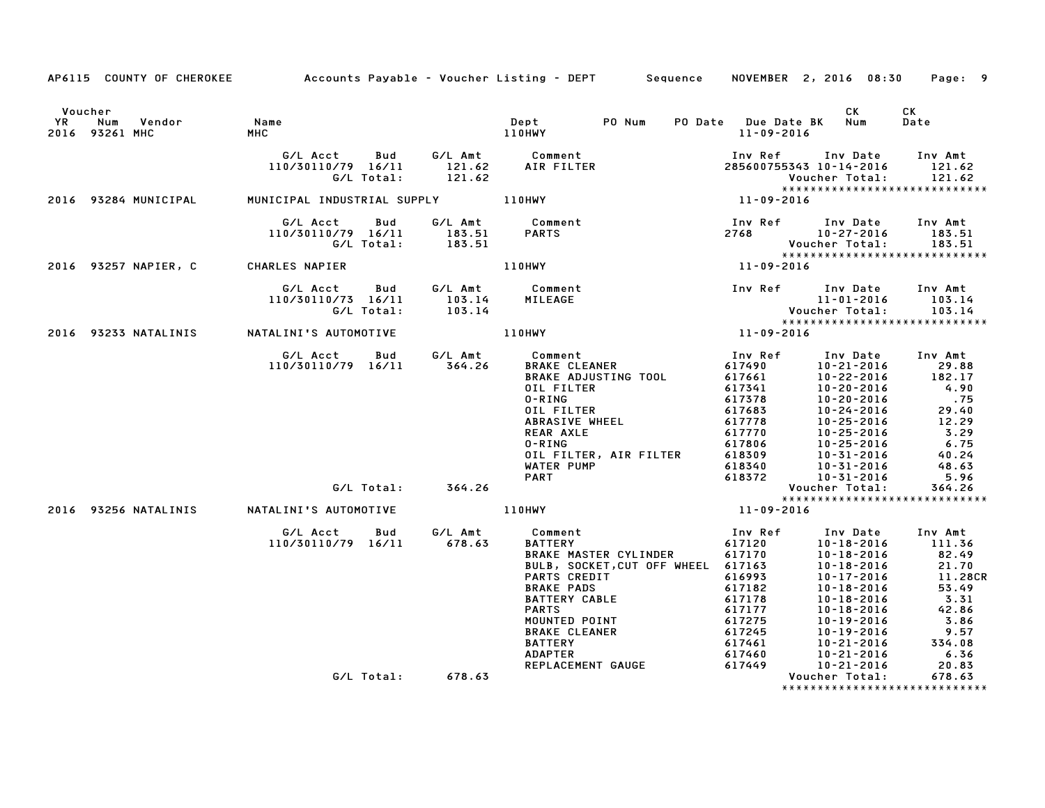|           |                                            |                                |                          |                             | AP6115 COUNTY OF CHEROKEE Accounts Payable – Voucher Listing – DEPT Sequence                                                                                                                                                                                     |                                                                                                                                 | NOVEMBER 2, 2016 08:30                                                                                                                                                                                                           | Page: 9                                                                                                             |
|-----------|--------------------------------------------|--------------------------------|--------------------------|-----------------------------|------------------------------------------------------------------------------------------------------------------------------------------------------------------------------------------------------------------------------------------------------------------|---------------------------------------------------------------------------------------------------------------------------------|----------------------------------------------------------------------------------------------------------------------------------------------------------------------------------------------------------------------------------|---------------------------------------------------------------------------------------------------------------------|
|           |                                            |                                |                          |                             |                                                                                                                                                                                                                                                                  |                                                                                                                                 |                                                                                                                                                                                                                                  |                                                                                                                     |
| <b>YR</b> | Voucher<br>Num<br>Vendor<br>2016 93261 MHC | Name<br>MHC                    |                          |                             | Dept<br>PO Num<br>110HWY                                                                                                                                                                                                                                         | PO Date Due Date BK<br>$11 - 09 - 2016$                                                                                         | CK.<br>Num                                                                                                                                                                                                                       | CK<br>Date                                                                                                          |
|           |                                            | G/L Acct<br>110/30110/79 16/11 | <b>Bud</b><br>G/L Total: | G/L Amt<br>121.62<br>121.62 | Comment<br>AIR FILTER                                                                                                                                                                                                                                            | Inv Ref                                                                                                                         | Inv Date<br>285600755343 10-14-2016<br>Voucher Total:                                                                                                                                                                            | Inv Amt<br>121.62<br>121.62                                                                                         |
|           | 2016 93284 MUNICIPAL                       | MUNICIPAL INDUSTRIAL SUPPLY    |                          |                             | 110HWY                                                                                                                                                                                                                                                           | 11-09-2016                                                                                                                      | *****************************                                                                                                                                                                                                    |                                                                                                                     |
|           |                                            | G/L Acct<br>110/30110/79 16/11 | Bud<br>G/L Total:        | G/L Amt<br>183.51<br>183.51 | Comment<br><b>PARTS</b>                                                                                                                                                                                                                                          | Inv Ref<br>2768                                                                                                                 | Inv Date<br>$10 - 27 - 2016$<br>Voucher Total:                                                                                                                                                                                   | Inv Amt<br>183.51<br>183.51                                                                                         |
|           | 2016 93257 NAPIER, C                       | CHARLES NAPIER                 |                          |                             | <b>110HWY</b>                                                                                                                                                                                                                                                    | 11-09-2016                                                                                                                      | *****************************                                                                                                                                                                                                    |                                                                                                                     |
|           |                                            | G/L Acct<br>110/30110/73 16/11 | Bud<br>G/L Total:        | G/L Amt<br>103.14<br>103.14 | Comment<br>MILEAGE                                                                                                                                                                                                                                               | Inv Ref                                                                                                                         | Inv Date<br>11-01-2016<br>Voucher Total:<br>*****************************                                                                                                                                                        | Inv Amt<br>103.14<br>103.14                                                                                         |
|           | 2016 93233 NATALINIS                       | NATALINI'S AUTOMOTIVE          |                          |                             | <b>110HWY</b>                                                                                                                                                                                                                                                    | 11-09-2016                                                                                                                      |                                                                                                                                                                                                                                  |                                                                                                                     |
|           |                                            | G/L Acct<br>110/30110/79 16/11 | Bud<br>G/L Total:        | G/L Amt<br>364.26<br>364.26 | Comment<br><b>BRAKE CLEANER</b><br>BRAKE ADJUSTING TOOL<br>OIL FILTER<br>$0 - R$ ING<br>OIL FILTER<br>ABRASIVE WHEEL<br>REAR AXLE<br>$0 - R$ ING<br>OIL FILTER, AIR FILTER<br>WATER PUMP<br><b>PART</b>                                                          | Inv Ref<br>617490<br>617661<br>617341<br>617378<br>617683<br>617778<br>617770<br>617806<br>618309<br>618340<br>618372           | Inv Date<br>10-21-2016<br>10-22-2016<br>10-20-2016<br>10-20-2016<br>10-24-2016<br>10-25-2016<br>10-25-2016<br>10-25-2016<br>10-31-2016<br>10-31-2016<br>$10 - 31 - 2016$<br>Voucher Total:                                       | Inv Amt<br>29.88<br>182.17<br>4.90<br>.75<br>29.40<br>12.29<br>3.29<br>6.75<br>40.24<br>48.63<br>5.96<br>364.26     |
|           | 2016 93256 NATALINIS                       | NATALINI'S AUTOMOTIVE          |                          |                             | 110HWY                                                                                                                                                                                                                                                           | 11-09-2016                                                                                                                      | *****************************                                                                                                                                                                                                    |                                                                                                                     |
|           |                                            | G/L Acct<br>110/30110/79 16/11 | Bud                      | G/L Amt<br>678.63           | Comment<br><b>BATTERY</b><br>BRAKE MASTER CYLINDER<br>BULB, SOCKET, CUT OFF WHEEL<br>PARTS CREDIT<br><b>BRAKE PADS</b><br><b>BATTERY CABLE</b><br><b>PARTS</b><br>MOUNTED POINT<br><b>BRAKE CLEANER</b><br><b>BATTERY</b><br><b>ADAPTER</b><br>REPLACEMENT GAUGE | Inv Ref<br>617120<br>617170<br>617163<br>616993<br>617182<br>617178<br>617177<br>617275<br>617245<br>617461<br>617460<br>617449 | Inv Date<br>$10 - 18 - 2016$<br>$10 - 18 - 2016$<br>10-18-2016<br>$10 - 17 - 2016$<br>$10 - 18 - 2016$<br>$10 - 18 - 2016$<br>10-18-2016<br>$10 - 19 - 2016$<br>$10 - 19 - 2016$<br>$10 - 21 - 2016$<br>10-21-2016<br>10-21-2016 | Inv Amt<br>111.36<br>82.49<br>21.70<br>11.28CR<br>53.49<br>3.31<br>42.86<br>3.86<br>9.57<br>334.08<br>6.36<br>20.83 |
|           |                                            |                                | G/L Total:               | 678.63                      |                                                                                                                                                                                                                                                                  |                                                                                                                                 | Voucher Total:<br>*****************************                                                                                                                                                                                  | 678.63                                                                                                              |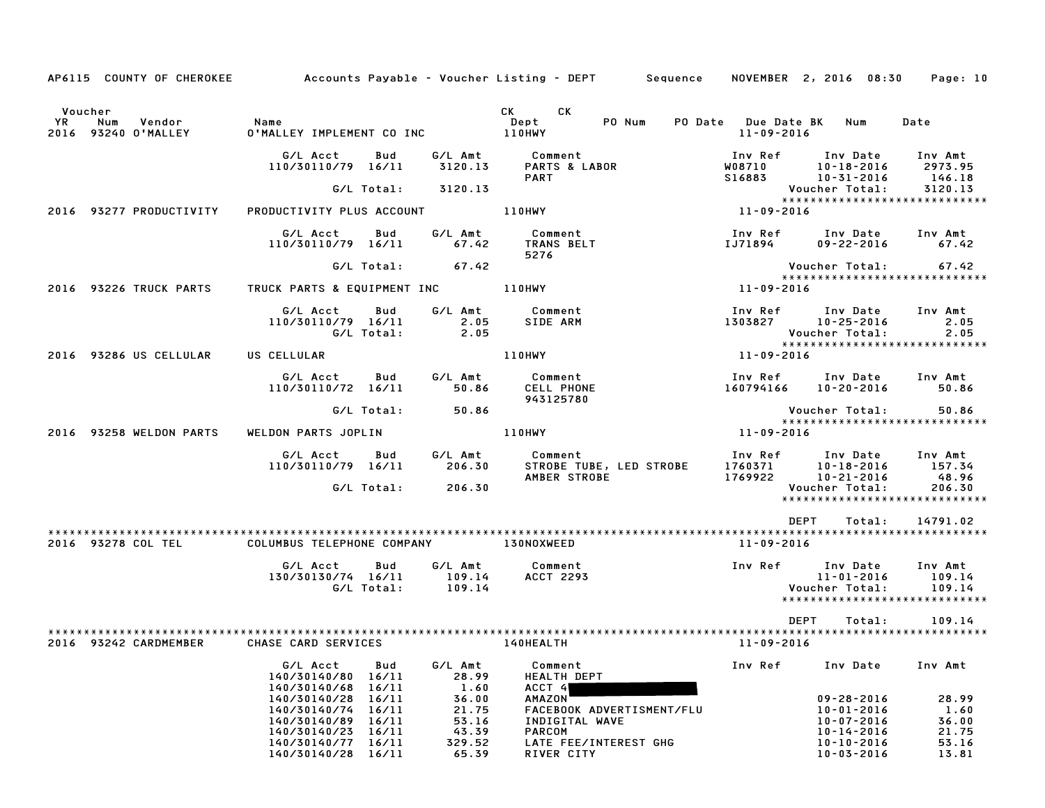|         |                                   |                                                                                                                  |                                          | AP6115 COUNTY OF CHEROKEE Accounts Payable - Voucher Listing - DEPT Sequence NOVEMBER 2, 2016 08:30 Page: 10                                                     |                                                                                           |                                                                              |                                 |
|---------|-----------------------------------|------------------------------------------------------------------------------------------------------------------|------------------------------------------|------------------------------------------------------------------------------------------------------------------------------------------------------------------|-------------------------------------------------------------------------------------------|------------------------------------------------------------------------------|---------------------------------|
| Voucher |                                   |                                                                                                                  |                                          | CK CK                                                                                                                                                            |                                                                                           |                                                                              |                                 |
| YR D    | Num Vendor<br>2016 93240 O'MALLEY | Name<br>0'MALLEY IMPLEMENT CO INC 110HWY                                                                         |                                          | PO Num<br>Dept                                                                                                                                                   | PO Date Due Date BK Num<br>11-09-2016                                                     |                                                                              | Date                            |
|         |                                   | G/L Acct Bud                                                                                                     |                                          | G/L Amt Comment<br><b>PART</b>                                                                                                                                   | 1nv Ref       Inv Date     Inv Amt<br>10-18-2016       2973.95<br>110-31-2016      146.18 |                                                                              | 2973.95<br>146.18               |
|         |                                   |                                                                                                                  | G/L Total: 3120.13                       |                                                                                                                                                                  |                                                                                           |                                                                              |                                 |
|         | 2016 93277 PRODUCTIVITY           |                                                                                                                  |                                          | PRODUCTIVITY PLUS ACCOUNT 110HWY                                                                                                                                 | Voucher Total: 3120.13<br>*******************************                                 |                                                                              |                                 |
|         |                                   | G/L Acct Bud<br>110/30110/79 16/11 67.42 TRANS BELT                                                              |                                          | G/L Amt Comment<br>5276                                                                                                                                          | Inv Ref Inv Date Inv Amt                                                                  | IJ71894 09-22-2016 67.42                                                     |                                 |
|         |                                   |                                                                                                                  | G/L Total: 67.42                         |                                                                                                                                                                  |                                                                                           |                                                                              |                                 |
|         |                                   |                                                                                                                  |                                          |                                                                                                                                                                  | Vouc<br>*****<br>11-09-2016                                                               |                                                                              |                                 |
|         |                                   | G/L Acct Bud<br>110/30110/79 16/11 2.05 SIDE ARM<br>G/L Total: 2.05 SIDE ARM                                     |                                          | G/L Amt Comment                                                                                                                                                  | Inv Ref      Inv Date    Inv Amt<br>1303827        10–25–2016             2.05            | Voucher Total: 2.05<br>******************************                        | 2.05                            |
|         | 2016 93286 US CELLULAR            | US CELLULAR 110HWY                                                                                               |                                          |                                                                                                                                                                  | 11-09-2016                                                                                |                                                                              |                                 |
|         |                                   | G/L Acct   Bud<br>110/30110/72 16/11 50.86 CELL PHONE                                                            |                                          | G/L Amt Comment<br>943125780                                                                                                                                     |                                                                                           | Inv Ref Inv Date Inv Amt<br>160794166 10-20-2016 50.86                       |                                 |
|         |                                   |                                                                                                                  | G/L Total: 50.86                         |                                                                                                                                                                  |                                                                                           |                                                                              |                                 |
|         | 2016 93258 WELDON PARTS           |                                                                                                                  |                                          | WELDON PARTS JOPLIN 110HWY                                                                                                                                       | <b>VOUCNET IULAL.</b><br>****************************<br>11-09-2016                       |                                                                              |                                 |
|         |                                   |                                                                                                                  |                                          | 000 6/L Amt Comment<br>110/30110/79 16/11 206.30 STROBE TUBE, LED STROBE 1760371 10–18–2016 157.34<br>AMBER STROBE 1769922 10–21–2016 48.96<br>G/L Total: 206.30 |                                                                                           |                                                                              |                                 |
|         |                                   |                                                                                                                  |                                          |                                                                                                                                                                  |                                                                                           |                                                                              |                                 |
|         |                                   |                                                                                                                  |                                          |                                                                                                                                                                  | DEPT                                                                                      | Total:                                                                       | 14791.02                        |
|         | 2016 93278 COL TEL                | COLUMBUS TELEPHONE COMPANY 130NOXWEED                                                                            |                                          |                                                                                                                                                                  | 11-09-2016                                                                                |                                                                              |                                 |
|         |                                   | G/L Acct      Bud      G/L Amt         Comment<br>130/30130/74 16/11 109.14<br>G/L Total: 109.14                 |                                          | ACCT 2293                                                                                                                                                        | Inv Ref Inv Date Inv Amt                                                                  | 11-01-2016 109.14<br>Voucher Total: 109.14<br>Voucher Total:                 |                                 |
|         |                                   |                                                                                                                  |                                          |                                                                                                                                                                  |                                                                                           |                                                                              |                                 |
|         | 2016 93242 CARDMEMBER             | CHASE CARD SERVICES                                                                                              |                                          | <b>140HEALTH</b>                                                                                                                                                 | DEPT<br>11-09-2016                                                                        | Total:                                                                       | 109.14                          |
|         |                                   | G/L Acct<br>Bud<br>140/30140/80 16/11                                                                            | G/L Amt<br>28.99                         | Comment<br><b>HEALTH DEPT</b>                                                                                                                                    | Inv Ref                                                                                   | Inv Date                                                                     | Inv Amt                         |
|         |                                   | 140/30140/68<br>16/11<br>140/30140/28<br>16/11<br>140/30140/74 16/11<br>140/30140/89 16/11<br>140/30140/23 16/11 | 1.60<br>36.00<br>21.75<br>53.16<br>43.39 | ACCT 4<br>AMAZON<br>FACEBOOK ADVERTISMENT/FLU<br>INDIGITAL WAVE<br><b>PARCOM</b>                                                                                 |                                                                                           | $09 - 28 - 2016$<br>$10 - 01 - 2016$<br>$10 - 07 - 2016$<br>$10 - 14 - 2016$ | 28.99<br>1.60<br>36.00<br>21.75 |
|         |                                   | 140/30140/77 16/11<br>140/30140/28 16/11                                                                         | 329.52<br>65.39                          | LATE FEE/INTEREST GHG<br>RIVER CITY                                                                                                                              |                                                                                           | $10 - 10 - 2016$<br>$10 - 03 - 2016$                                         | 53.16<br>13.81                  |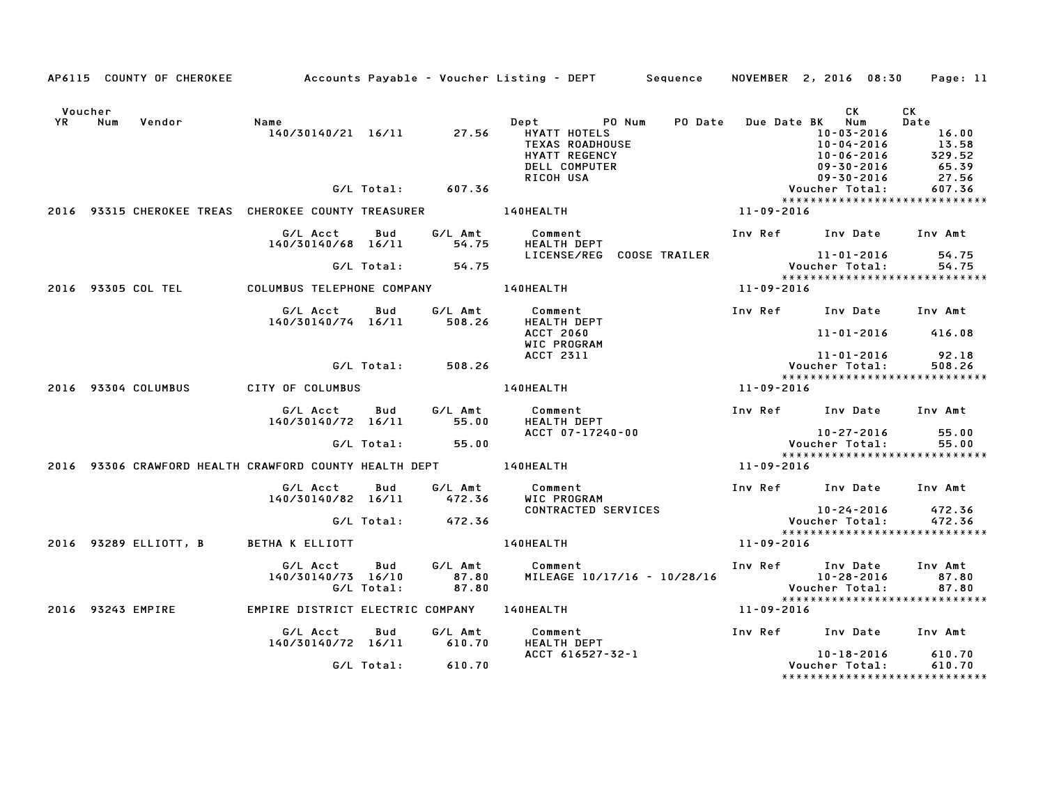|                      |     |                     |                                                                  |                   |                           | AP6115 COUNTY OF CHEROKEE Accounts Payable - Voucher Listing - DEPT Sequence NOVEMBER 2, 2016 08:30 Page: 11 |                  |                                                                                           |                                                              |
|----------------------|-----|---------------------|------------------------------------------------------------------|-------------------|---------------------------|--------------------------------------------------------------------------------------------------------------|------------------|-------------------------------------------------------------------------------------------|--------------------------------------------------------------|
|                      |     |                     |                                                                  |                   |                           |                                                                                                              |                  |                                                                                           |                                                              |
| Voucher<br><b>YR</b> | Num | Vendor              | Name                                                             |                   |                           | Dept PO Num<br><b>PO Date</b><br>HYATT HOTELS<br>TEXAS ROADHOUSE<br>HYATT REGENCY<br>DELL COMPUTER           |                  | CK<br>Due Date BK Num<br>10-03-2016<br>10-04-2016<br>10-06-2016<br>09-30-2016             | CK<br>Date<br>16.00<br>13.58<br>$13.58$<br>$329.52$<br>65.39 |
|                      |     |                     |                                                                  | G/L Total:        | 607.36                    | RICOH USA                                                                                                    |                  | 09-30-2016<br>Voucher Total:<br>*****************************                             | 27.56<br>607.36                                              |
|                      |     |                     |                                                                  |                   |                           | 2016 93315 CHEROKEE TREAS CHEROKEE COUNTY TREASURER 140HEALTH                                                | 11-09-2016       |                                                                                           |                                                              |
|                      |     |                     | G/L Acct<br>140/30140/68 16/11                                   | Bud               | G/L Amt<br>54.75          | Comment<br>HEALTH DEPT                                                                                       |                  | Inv Ref Inv Date Inv Amt                                                                  |                                                              |
|                      |     |                     |                                                                  |                   | $G/L$ Total: $54.75$      | LICENSE/REG COOSE TRAILER                                                                                    |                  | 11-01-2016<br>:Voucher Total                                                              | 54.75<br>54.75                                               |
|                      |     | 2016 93305 COL TEL  | COLUMBUS TELEPHONE COMPANY THE LAOHEALTH                         |                   |                           |                                                                                                              | 11-09-2016       |                                                                                           |                                                              |
|                      |     |                     | G/L Acct<br>140/30140/74 16/11 508.26                            | Bud               | G/L Amt                   | Comment<br><b>HEALTH DEPT</b>                                                                                |                  | Inv Ref Inv Date Inv Amt                                                                  |                                                              |
|                      |     |                     |                                                                  |                   |                           | <b>ACCT 2060</b><br>WIC PROGRAM<br>ACCT 2311                                                                 |                  | $11 - 01 - 2016$ 416.08<br>11-01-2016                                                     | 92.18                                                        |
|                      |     |                     |                                                                  | G/L Total:        | 508.26                    |                                                                                                              |                  | <b>Voucher Total:</b>                                                                     | 508.26                                                       |
|                      |     | 2016 93304 COLUMBUS | CITY OF COLUMBUS                                                 |                   |                           | 140HEALTH                                                                                                    | 11-09-2016       |                                                                                           |                                                              |
|                      |     |                     | G/L Acct<br>140/30140/72 16/11                                   | Bud               | G/L Amt<br>55.00          | Comment<br>HEALTH DEPT                                                                                       |                  | Inv Ref Inv Date Inv Amt                                                                  |                                                              |
|                      |     |                     |                                                                  |                   | G/L Total: 55.00          | ACCT 07-17240-00                                                                                             |                  | 10-27-2016<br>$\frac{10-27-2016}{\text{Voucher Total:}}$<br>***************************** | 55.00<br>55.00                                               |
|                      |     |                     | 2016 93306 CRAWFORD HEALTH CRAWFORD COUNTY HEALTH DEPT 140HEALTH |                   |                           | $11 - 09 - 2016$                                                                                             |                  |                                                                                           |                                                              |
|                      |     |                     | G/L Acct Bud<br>140/30140/82 16/11 472.36                        |                   | G/L Amt                   | Comment<br>WIC PROGRAM                                                                                       |                  | Inv Ref Inv Date Inv Amt                                                                  |                                                              |
|                      |     |                     |                                                                  |                   | G/L Total: 472.36         | CONTRACTED SERVICES                                                                                          |                  | $10 - 24 - 2016$<br>Voucher Total:<br>*****************************                       | 472.36<br>472.36                                             |
|                      |     |                     | 2016 93289 ELLIOTT, B BETHA K ELLIOTT                            |                   |                           | 140HEALTH                                                                                                    | 11-09-2016       |                                                                                           |                                                              |
|                      |     |                     | G/L Acct<br>140/30140/73 16/10                                   | Bud<br>G/L Total: | G/L Amt<br>87.80<br>87.80 | Comment<br>MILEAGE 10/17/16 - 10/28/16<br>Voucher Total:                                                     |                  | Inv Ref      Inv Date                                                                     | Inv Amt<br>87.80<br>87.80                                    |
|                      |     | 2016 93243 EMPIRE   |                                                                  |                   |                           | EMPIRE DISTRICT ELECTRIC COMPANY 140HEALTH                                                                   | $11 - 09 - 2016$ |                                                                                           |                                                              |
|                      |     |                     | G/L Acct<br>140/30140/72 16/11 610.70                            | Bud               | G/L Amt                   | Comment<br>HEALTH DEPT                                                                                       |                  | Inv Ref Inv Date Inv Amt                                                                  |                                                              |
|                      |     |                     |                                                                  |                   | G/L Total: 610.70         | ACCT 616527-32-1                                                                                             |                  | 10-18-2016<br>Voucher Total:<br>*****************************                             | 610.70<br>610.70                                             |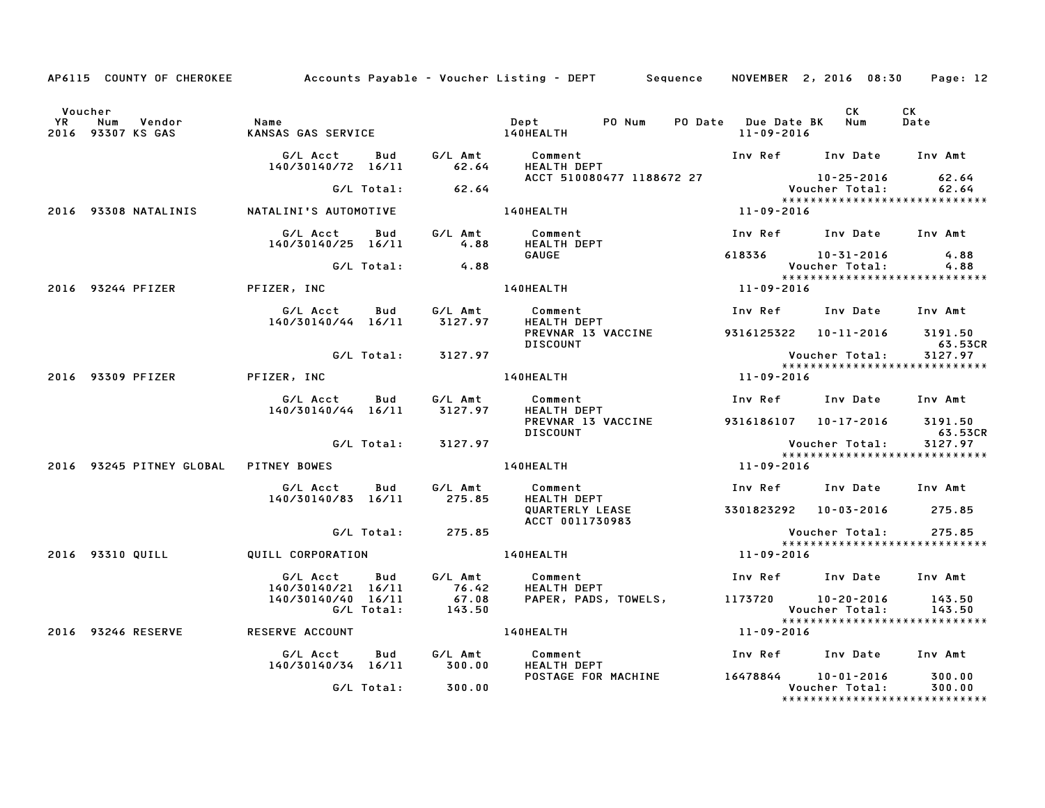|           |                                            |                                                                           |            |                      | AP6115 COUNTY OF CHEROKEE Accounts Payable - Voucher Listing - DEPT Sequence NOVEMBER 2, 2016 08:30                                                                                              |                     |                                                                            | Page: 12   |
|-----------|--------------------------------------------|---------------------------------------------------------------------------|------------|----------------------|--------------------------------------------------------------------------------------------------------------------------------------------------------------------------------------------------|---------------------|----------------------------------------------------------------------------|------------|
| <b>YR</b> | Voucher<br>Num Vendor<br>2016 93307 KS GAS | Name                                                                      |            |                      |                                                                                                                                                                                                  | $11 - 09 - 2016$    | CK<br>PO Date Due Date BK Num                                              | CK<br>Date |
|           |                                            |                                                                           |            |                      |                                                                                                                                                                                                  |                     | Inv Ref      Inv Date     Inv Amt                                          |            |
|           |                                            |                                                                           |            | $G/L$ Total: $62.64$ | ACCT 510080477 1188672 27                                                                                                                                                                        |                     | 10-25-2016 62.64<br>Voucher Total: 62.64<br>****************************** |            |
|           | 2016 93308 NATALINIS                       | NATALINI'S AUTOMOTIVE                                                     |            |                      | 140HEALTH                                                                                                                                                                                        | 11-09-2016          |                                                                            |            |
|           |                                            | G/L Acct Bud                                                              |            |                      |                                                                                                                                                                                                  |                     | Inv Ref      Inv Date     Inv Amt                                          |            |
|           |                                            | 140/30140/25 16/11                                                        |            |                      | G/L Amt         Comment<br>4.88       HEALTH DEPT                                                                                                                                                |                     |                                                                            |            |
|           |                                            |                                                                           |            | G/L Total: 4.88      | GAUGE                                                                                                                                                                                            |                     | 618336 10-31-2016 4.88<br>Voucher Total: 4.88                              |            |
|           | 2016 93244 PFIZER PFIZER, INC              |                                                                           |            |                      | 140HEALTH                                                                                                                                                                                        | $***$<br>11-09-2016 |                                                                            |            |
|           |                                            |                                                                           |            |                      |                                                                                                                                                                                                  |                     | Inv Ref      Inv Date     Inv Amt                                          |            |
|           |                                            |                                                                           |            |                      | G/L Acct  Bud  G/L Amt  Comment<br>140/30140/44 16/11  3127.97  HEALTH DEPT<br><b>Community</b><br>Health Dept<br>Previlled T<br>PREVNAR 13 VACCINE<br><b>DISCOUNT</b>                           |                     | 9316125322 10-11-2016 3191.50                                              | 63.53CR    |
|           |                                            |                                                                           |            | G/L Total: 3127.97   |                                                                                                                                                                                                  |                     | Voucher Total:                                                             | 3127.97    |
|           | 2016 93309 PFIZER                          | PFIZER, INC                                                               |            |                      | 140HEALTH 11-09-2016                                                                                                                                                                             |                     | *****************************                                              |            |
|           |                                            | G/L Acct<br>140/30140/44 16/11 3127.97                                    | <b>Bud</b> | G/L Amt              | Comment<br><b>HEALTH DEPT</b>                                                                                                                                                                    |                     | Inv Ref Inv Date Inv Amt                                                   |            |
|           |                                            |                                                                           |            |                      | PREVNAR 13 VACCINE 9316186107 10-17-2016 3191.50<br><b>DISCOUNT</b>                                                                                                                              |                     |                                                                            | 63.53CR    |
|           |                                            |                                                                           |            | G/L Total: 3127.97   |                                                                                                                                                                                                  |                     | Voucher Total: 3127.97<br>*****************************                    |            |
|           | 2016 93245 PITNEY GLOBAL PITNEY BOWES      |                                                                           |            |                      | 140HEALTH                                                                                                                                                                                        | 11-09-2016          |                                                                            |            |
|           |                                            |                                                                           |            |                      | G/L Acct      Bud      G/L Amt       Comment                          Inv Ref     Inv Date     Inv Amt<br>140/30140/83   16/11         275.85      HEALTH DEPT                           Inv Ref |                     |                                                                            |            |
|           |                                            |                                                                           |            |                      | QUARTERLY LEASE<br>ACCT 0011730983                                                                                                                                                               |                     | 3301823292 10-03-2016 275.85                                               |            |
|           |                                            |                                                                           |            | G/L Total: 275.85    |                                                                                                                                                                                                  |                     | Voucher Total:<br>*****************************                            | 275.85     |
|           | 2016 93310 QUILL                           | QUILL CORPORATION                                                         |            |                      | $11 - 09 - 2016$<br>140HEALTH                                                                                                                                                                    |                     |                                                                            |            |
|           |                                            |                                                                           |            |                      | G/L Acct Bud G/L Amt Comment<br>HEALTH DEPT                                                                                                                                                      |                     | Inv Ref Inv Date Inv Amt                                                   |            |
|           |                                            | 140/30140/21 16/11 76.42<br>140/30140/40 16/11 67.08<br>6/L Total: 143.50 |            |                      | PAPER, PADS, TOWELS, 1173720 10-20-2016 143.50                                                                                                                                                   |                     | Voucher Total:                                                             | 143.50     |
|           | 2016 93246 RESERVE                         | <b>RESERVE ACCOUNT</b>                                                    |            |                      | 140HEALTH                                                                                                                                                                                        | $11 - 09 - 2016$    | ******************************                                             |            |
|           |                                            | G/L Acct<br>140/30140/34 16/11 300.00                                     | Bud        | G⁄L Amt              | Comment<br><b>LEMENT</b><br>HEALTH DEPT<br>ROCTAAL                                                                                                                                               |                     | Inv Ref Inv Date Inv Amt                                                   |            |
|           |                                            |                                                                           |            | G/L Total: 300.00    | POSTAGE FOR MACHINE 16478844 10-01-2016 300.00                                                                                                                                                   |                     | Voucher Total:<br>******************************                           | 300.00     |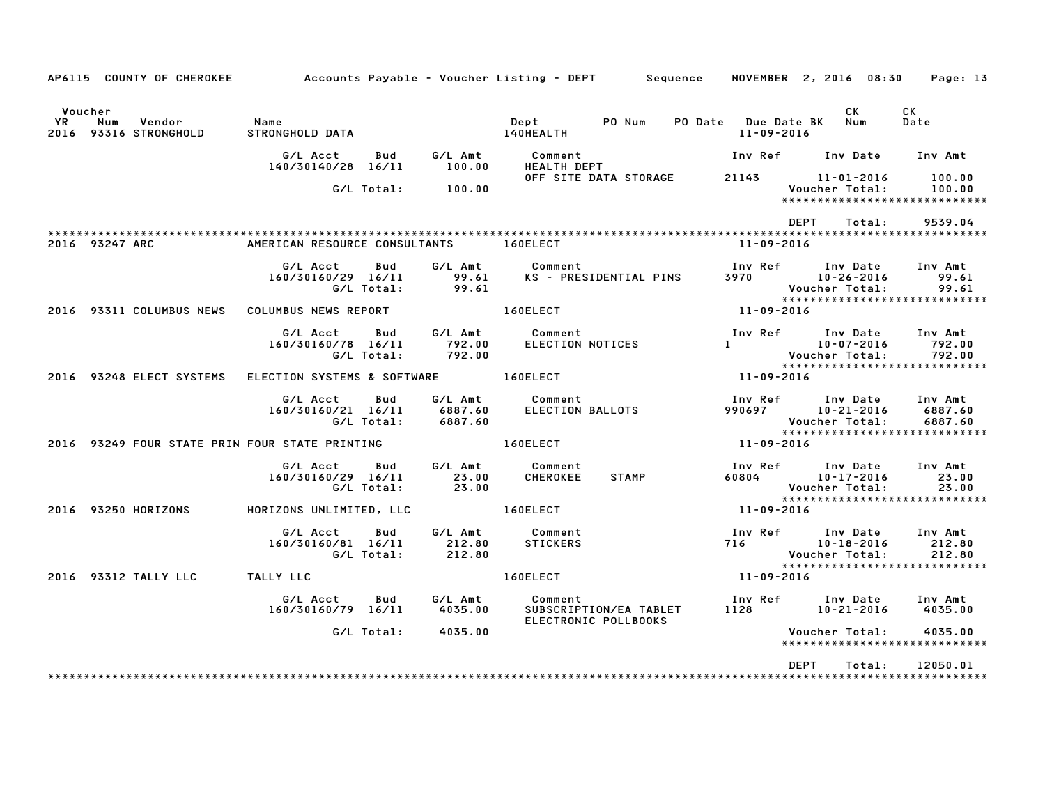| AP6115 COUNTY OF CHEROKEE 6 Accounts Payable – Voucher Listing – DEPT Sequence NOVEMBER 2, 2016 08:30 Page: 13 |                                                  |                                      |                                                           |                                                                                                                                                                                                                                                                                                                           |                                                                           |  |  |
|----------------------------------------------------------------------------------------------------------------|--------------------------------------------------|--------------------------------------|-----------------------------------------------------------|---------------------------------------------------------------------------------------------------------------------------------------------------------------------------------------------------------------------------------------------------------------------------------------------------------------------------|---------------------------------------------------------------------------|--|--|
| Voucher<br>Vendor<br>YR<br>Num<br>2016 93316 STRONGHOLD                                                        | Name<br>STRONGHOLD DATA                          |                                      | PO Num<br>Dept<br>140HEALTH                               | PO Date Due Date BK<br>11-09-2016                                                                                                                                                                                                                                                                                         | CK<br>CK<br>Num<br>Date                                                   |  |  |
|                                                                                                                | G/L Acct<br>140/30140/28 16/11                   | G/L Amt<br>Bud<br>100.00             | Comment<br><b>HEALTH DEPT</b>                             |                                                                                                                                                                                                                                                                                                                           | Inv Ref      Inv Date     Inv Amt                                         |  |  |
|                                                                                                                | G/L Total:                                       | 100.00                               | OFF SITE DATA STORAGE                                     | 21143 11-01-2016                                                                                                                                                                                                                                                                                                          | 100.00<br>Voucher Total:<br>100.00<br>*****************************       |  |  |
|                                                                                                                |                                                  |                                      |                                                           | DEPT                                                                                                                                                                                                                                                                                                                      | Total:<br>9539.04                                                         |  |  |
| 2016 93247 ARC<br>AMERICAN RESOURCE CONSULTANTS 160ELECT                                                       |                                                  |                                      | 11-09-2016                                                |                                                                                                                                                                                                                                                                                                                           |                                                                           |  |  |
|                                                                                                                | G/L Acct<br>160/30160/29 16/11<br>G/L Total:     | Bud<br>99.61<br>99.61                | G/L Amt Comment<br>KS - PRESIDENTIAL PINS                 | Inv Ref      Inv Date<br>3970 10-26-2016                                                                                                                                                                                                                                                                                  | Inv Amt<br>99.61<br>Voucher Total:<br>99.61                               |  |  |
| 2016 93311 COLUMBUS NEWS                                                                                       | COLUMBUS NEWS REPORT                             |                                      | <b>160ELECT</b>                                           | 11-09-2016                                                                                                                                                                                                                                                                                                                | *****************************                                             |  |  |
|                                                                                                                | G/L Acct<br>160/30160/78 16/11<br>G/L Total:     | <b>Bud</b><br>792.00<br>792.00       | G/L Amt Comment<br><b>ELECTION NOTICES</b>                | Inv Ref      Inv Date<br>$\mathbf{1}$ and $\mathbf{1}$ and $\mathbf{1}$ and $\mathbf{1}$ and $\mathbf{1}$ and $\mathbf{1}$ and $\mathbf{1}$ and $\mathbf{1}$ and $\mathbf{1}$ and $\mathbf{1}$ and $\mathbf{1}$ and $\mathbf{1}$ and $\mathbf{1}$ and $\mathbf{1}$ and $\mathbf{1}$ and $\mathbf{1}$ and $\mathbf{1}$ and | Inv Amt<br>10-07-2016<br>792.00<br>792.00<br>Voucher Total:               |  |  |
| 2016 93248 ELECT SYSTEMS                                                                                       |                                                  |                                      | ELECTION SYSTEMS & SOFTWARE 160ELECT                      | $11 - 09 - 2016$                                                                                                                                                                                                                                                                                                          | *****************************                                             |  |  |
|                                                                                                                | G/L Acct<br>160/30160/21 16/11                   | Bud<br>6887.60<br>G/L Total: 6887.60 | G/L Amt Comment<br>ELECTION BALLOTS                       | 990697 10-21-2016                                                                                                                                                                                                                                                                                                         | Inv Ref      Inv Date     Inv Amt<br>6887.60<br>Voucher Total:<br>6887.60 |  |  |
| 2016 93249 FOUR STATE PRIN FOUR STATE PRINTING                                                                 |                                                  |                                      | 160ELECT                                                  | $11 - 09 - 2016$                                                                                                                                                                                                                                                                                                          | *****************************                                             |  |  |
|                                                                                                                | G/L Acct Bud<br>160/30160/29 16/11<br>G/L Total: | G/L Amt<br>23.00<br>23.00            | Comment<br><b>CHEROKEE</b><br><b>STAMP</b>                | Inv Ref Inv Date<br>60804 10-17-2016                                                                                                                                                                                                                                                                                      | Inv Amt<br>23.00<br>23.00<br>Voucher Total:                               |  |  |
| 2016 93250 HORIZONS                                                                                            | HORIZONS UNLIMITED, LLC                          |                                      | 160ELECT                                                  | 11-09-2016                                                                                                                                                                                                                                                                                                                | *****************************                                             |  |  |
|                                                                                                                | G/L Acct Bud<br>160/30160/81 16/11<br>G/L Total: | 212.80<br>212.80                     | G/L Amt Comment<br>STICKERS                               | Inv Ref Inv Date<br>716 10-18-2016                                                                                                                                                                                                                                                                                        | Inv Amt<br>212.80<br>212.80<br>Voucher Total:                             |  |  |
| 2016 93312 TALLY LLC TALLY LLC                                                                                 |                                                  |                                      | 160ELECT                                                  | 11-09-2016                                                                                                                                                                                                                                                                                                                | *****************************                                             |  |  |
|                                                                                                                | G/L Acct<br>160/30160/79 16/11 4035.00           | Bud<br>G/L Amt                       | Comment<br>SUBSCRIPTION/EA TABLET<br>ELECTRONIC POLLBOOKS | 1128 10-21-2016                                                                                                                                                                                                                                                                                                           | Inv Ref      Inv Date     Inv Amt<br>4035.00                              |  |  |
|                                                                                                                |                                                  | G/L Total: 4035.00                   |                                                           |                                                                                                                                                                                                                                                                                                                           | 4035.00<br>Voucher Total:<br>****************************                 |  |  |
|                                                                                                                |                                                  |                                      |                                                           | <b>DEPT</b>                                                                                                                                                                                                                                                                                                               | Total:<br>12050.01                                                        |  |  |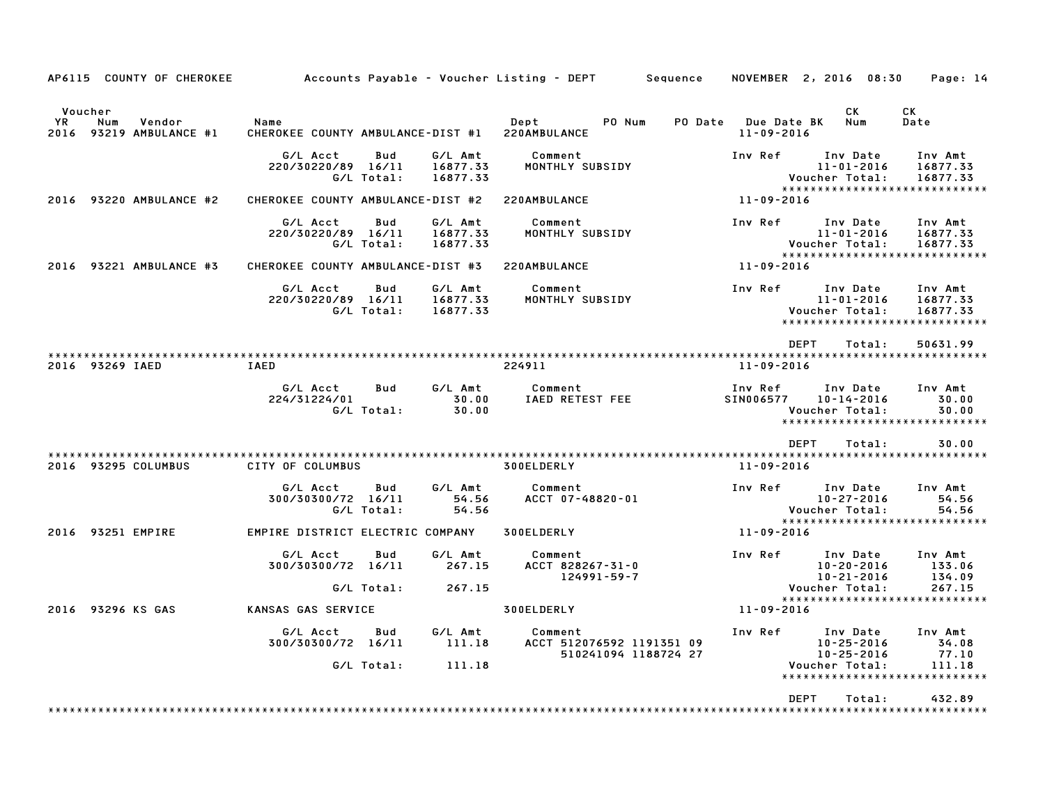|             |                 | AP6115 COUNTY OF CHEROKEE    |                                           |                   |                                 | Accounts Payable – Voucher Listing – DEPT         Sequence   |                                         | NOVEMBER 2, 2016 08:30                                                          | Page: 14                              |
|-------------|-----------------|------------------------------|-------------------------------------------|-------------------|---------------------------------|--------------------------------------------------------------|-----------------------------------------|---------------------------------------------------------------------------------|---------------------------------------|
| YR.<br>2016 | Voucher<br>Num  | Vendor<br>93219 AMBULANCE #1 | Name<br>CHEROKEE COUNTY AMBULANCE-DIST #1 |                   |                                 | Dept<br>PO Num<br>220AMBULANCE                               | PO Date Due Date BK<br>$11 - 09 - 2016$ | CK<br>Num                                                                       | CK<br>Date                            |
|             |                 |                              | G/L Acct<br>220/30220/89 16/11            | Bud<br>G/L Total: | G/L Amt<br>16877.33<br>16877.33 | Comment<br>MONTHLY SUBSIDY                                   | Inv Ref                                 | Inv Date<br>$11 - 01 - 2016$<br>Voucher Total:<br>***************************** | Inv Amt<br>16877.33<br>16877.33       |
|             |                 | 2016 93220 AMBULANCE #2      | CHEROKEE COUNTY AMBULANCE-DIST #2         |                   |                                 | 220AMBULANCE                                                 | 11-09-2016                              |                                                                                 |                                       |
|             |                 |                              | G/L Acct<br>220/30220/89 16/11            | Bud<br>G/L Total: | G/L Amt<br>16877.33<br>16877.33 | Comment<br>MONTHLY SUBSIDY                                   | Inv Ref                                 | Inv Date<br>$11 - 01 - 2016$<br>Voucher Total:<br>***************************** | Inv Amt<br>16877.33<br>16877.33       |
|             |                 | 2016 93221 AMBULANCE #3      | CHEROKEE COUNTY AMBULANCE-DIST #3         |                   |                                 | 220AMBULANCE                                                 | 11-09-2016                              |                                                                                 |                                       |
|             |                 |                              | G/L Acct<br>220/30220/89 16/11            | Bud<br>G/L Total: | G/L Amt<br>16877.33<br>16877.33 | Comment<br>MONTHLY SUBSIDY                                   | Inv Ref                                 | Inv Date<br>$11 - 01 - 2016$<br>Voucher Total:<br>***************************** | Inv Amt<br>16877.33<br>16877.33       |
|             |                 |                              |                                           |                   |                                 |                                                              |                                         | <b>DEPT</b><br>Total:                                                           | 50631.99                              |
|             | 2016 93269 IAED |                              | IAED                                      |                   |                                 | 224911                                                       | 11-09-2016                              |                                                                                 |                                       |
|             |                 |                              | G/L Acct<br>224/31224/01                  | Bud<br>G/L Total: | G/L Amt<br>30.00<br>30.00       | Comment<br>IAED RETEST FEE                                   | Inv Ref<br>SIN006577                    | Inv Date<br>$10 - 14 - 2016$<br>Voucher Total:<br>***************************** | Inv Amt<br>30.00<br>30.00             |
|             |                 |                              |                                           |                   |                                 |                                                              |                                         | <b>DEPT</b><br>Total:                                                           | 30.00                                 |
|             |                 | 2016 93295 COLUMBUS          | CITY OF COLUMBUS                          |                   |                                 | 300ELDERLY                                                   | $11 - 09 - 2016$                        |                                                                                 |                                       |
|             |                 |                              | G/L Acct<br>300/30300/72 16/11            | Bud<br>G/L Total: | G/L Amt<br>54.56<br>54.56       | Comment<br>ACCT 07-48820-01                                  | Inv Ref                                 | Inv Date<br>$10 - 27 - 2016$<br>Voucher Total:<br>***************************** | Inv Amt<br>54.56<br>54.56             |
|             |                 | 2016 93251 EMPIRE            | EMPIRE DISTRICT ELECTRIC COMPANY          |                   |                                 | 300ELDERLY                                                   | 11-09-2016                              |                                                                                 |                                       |
|             |                 |                              | G/L Acct<br>300/30300/72 16/11            | Bud<br>G/L Total: | G/L Amt<br>267.15<br>267.15     | Comment<br>ACCT 828267-31-0<br>$124991 - 59 - 7$             | Inv Ref                                 | Inv Date<br>$10 - 20 - 2016$<br>$10 - 21 - 2016$<br>Voucher Total:              | Inv Amt<br>133.06<br>134.09<br>267.15 |
|             |                 | 2016 93296 KS GAS            | KANSAS GAS SERVICE                        |                   |                                 | 300ELDERLY                                                   | 11-09-2016                              | *****************************                                                   |                                       |
|             |                 |                              | G/L Acct<br>300/30300/72 16/11            | Bud               | G/L Amt<br>111.18               | Comment<br>ACCT 512076592 1191351 09<br>510241094 1188724 27 | Inv Ref                                 | Inv Date<br>$10 - 25 - 2016$<br>$10 - 25 - 2016$                                | Inv Amt<br>34.08<br>77.10             |
|             |                 |                              |                                           | G/L Total:        | 111.18                          |                                                              |                                         | Voucher Total:<br>*******************************                               | 111.18                                |
|             |                 |                              |                                           |                   |                                 |                                                              |                                         | <b>DEPT</b><br>Total:                                                           | 432.89                                |